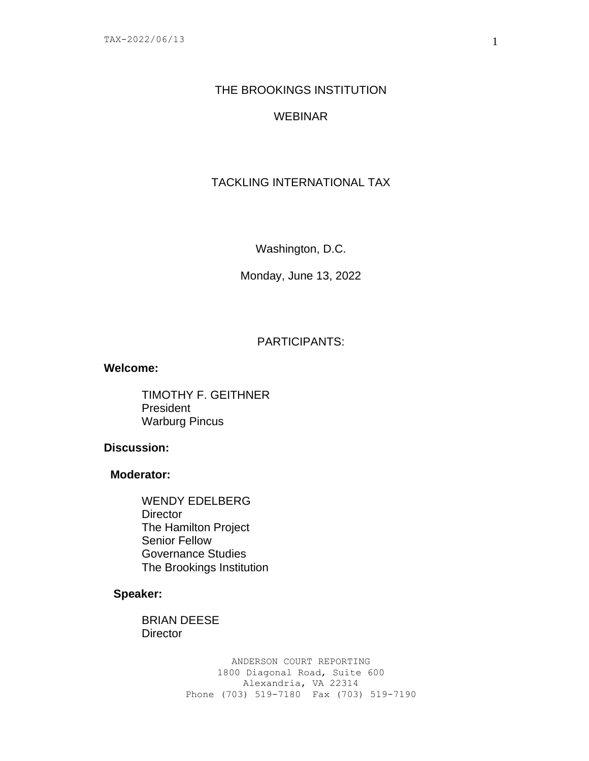# THE BROOKINGS INSTITUTION

# WEBINAR

# TACKLING INTERNATIONAL TAX

Washington, D.C.

Monday, June 13, 2022

# PARTICIPANTS:

#### **Welcome:**

TIMOTHY F. GEITHNER President Warburg Pincus

### **Discussion:**

### **Moderator:**

WENDY EDELBERG **Director** The Hamilton Project Senior Fellow Governance Studies The Brookings Institution

### **Speaker:**

BRIAN DEESE **Director**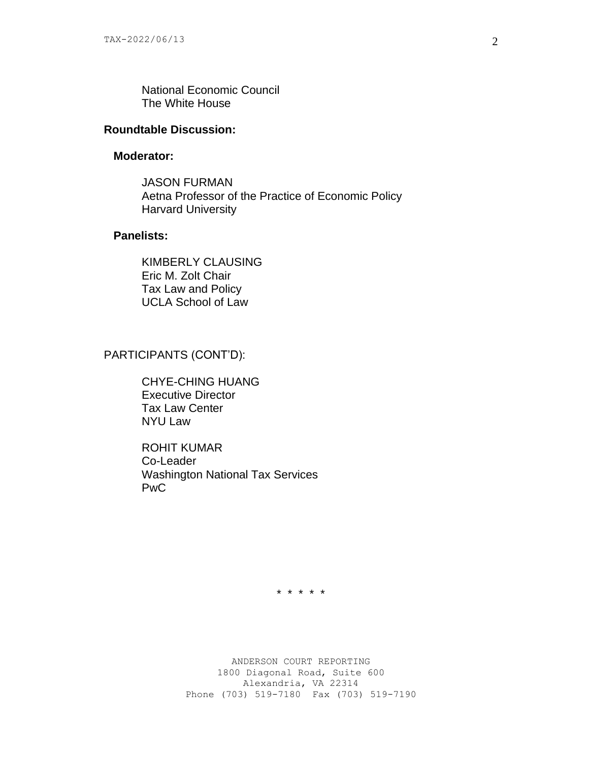National Economic Council The White House

# **Roundtable Discussion:**

#### **Moderator:**

JASON FURMAN Aetna Professor of the Practice of Economic Policy Harvard University

### **Panelists:**

KIMBERLY CLAUSING Eric M. Zolt Chair Tax Law and Policy UCLA School of Law

# PARTICIPANTS (CONT'D):

CHYE-CHING HUANG Executive Director Tax Law Center NYU Law

ROHIT KUMAR Co-Leader Washington National Tax Services PwC

\* \* \* \* \*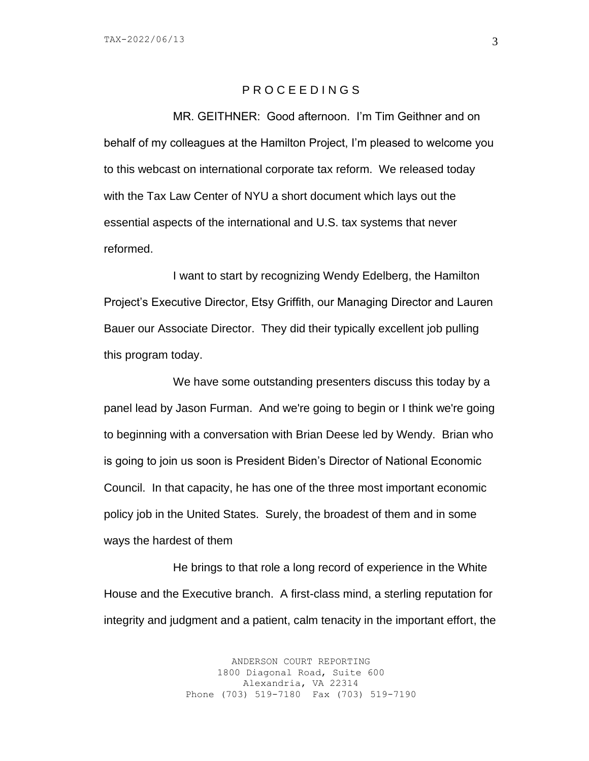#### P R O C E E D I N G S

MR. GEITHNER: Good afternoon. I'm Tim Geithner and on behalf of my colleagues at the Hamilton Project, I'm pleased to welcome you to this webcast on international corporate tax reform. We released today with the Tax Law Center of NYU a short document which lays out the essential aspects of the international and U.S. tax systems that never reformed.

I want to start by recognizing Wendy Edelberg, the Hamilton Project's Executive Director, Etsy Griffith, our Managing Director and Lauren Bauer our Associate Director. They did their typically excellent job pulling this program today.

We have some outstanding presenters discuss this today by a panel lead by Jason Furman. And we're going to begin or I think we're going to beginning with a conversation with Brian Deese led by Wendy. Brian who is going to join us soon is President Biden's Director of National Economic Council. In that capacity, he has one of the three most important economic policy job in the United States. Surely, the broadest of them and in some ways the hardest of them

He brings to that role a long record of experience in the White House and the Executive branch. A first-class mind, a sterling reputation for integrity and judgment and a patient, calm tenacity in the important effort, the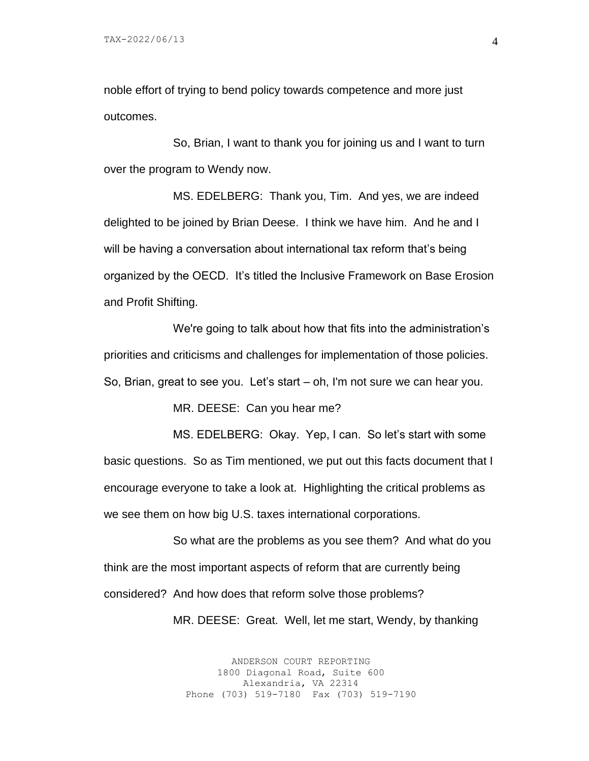noble effort of trying to bend policy towards competence and more just outcomes.

So, Brian, I want to thank you for joining us and I want to turn over the program to Wendy now.

MS. EDELBERG: Thank you, Tim. And yes, we are indeed delighted to be joined by Brian Deese. I think we have him. And he and I will be having a conversation about international tax reform that's being organized by the OECD. It's titled the Inclusive Framework on Base Erosion and Profit Shifting.

We're going to talk about how that fits into the administration's priorities and criticisms and challenges for implementation of those policies. So, Brian, great to see you. Let's start – oh, I'm not sure we can hear you.

MR. DEESE: Can you hear me?

MS. EDELBERG: Okay. Yep, I can. So let's start with some basic questions. So as Tim mentioned, we put out this facts document that I encourage everyone to take a look at. Highlighting the critical problems as we see them on how big U.S. taxes international corporations.

So what are the problems as you see them? And what do you think are the most important aspects of reform that are currently being considered? And how does that reform solve those problems?

MR. DEESE: Great. Well, let me start, Wendy, by thanking

ANDERSON COURT REPORTING 1800 Diagonal Road, Suite 600 Alexandria, VA 22314 Phone (703) 519-7180 Fax (703) 519-7190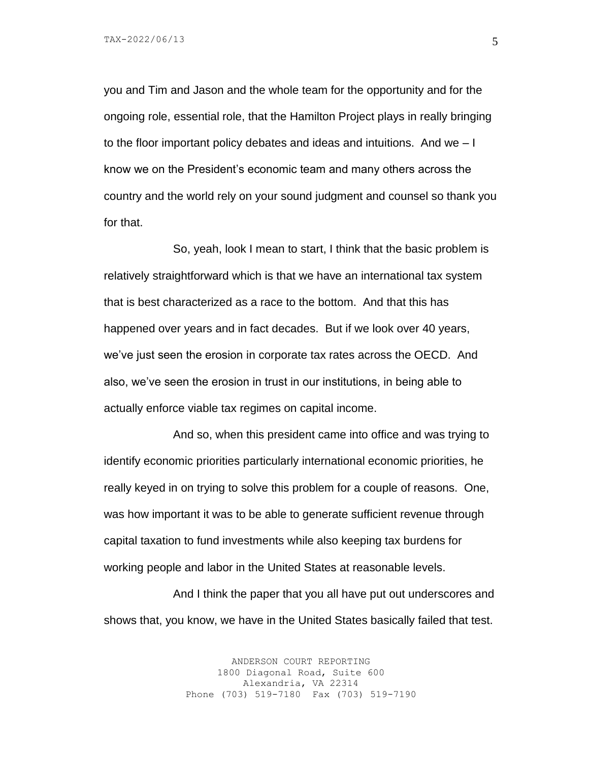you and Tim and Jason and the whole team for the opportunity and for the ongoing role, essential role, that the Hamilton Project plays in really bringing to the floor important policy debates and ideas and intuitions. And we – I know we on the President's economic team and many others across the country and the world rely on your sound judgment and counsel so thank you for that.

So, yeah, look I mean to start, I think that the basic problem is relatively straightforward which is that we have an international tax system that is best characterized as a race to the bottom. And that this has happened over years and in fact decades. But if we look over 40 years, we've just seen the erosion in corporate tax rates across the OECD. And also, we've seen the erosion in trust in our institutions, in being able to actually enforce viable tax regimes on capital income.

And so, when this president came into office and was trying to identify economic priorities particularly international economic priorities, he really keyed in on trying to solve this problem for a couple of reasons. One, was how important it was to be able to generate sufficient revenue through capital taxation to fund investments while also keeping tax burdens for working people and labor in the United States at reasonable levels.

And I think the paper that you all have put out underscores and shows that, you know, we have in the United States basically failed that test.

> ANDERSON COURT REPORTING 1800 Diagonal Road, Suite 600 Alexandria, VA 22314 Phone (703) 519-7180 Fax (703) 519-7190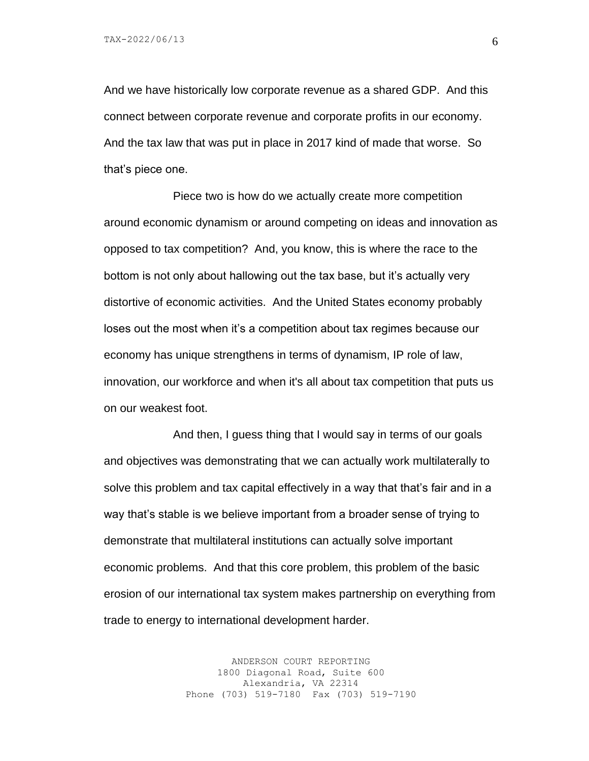And we have historically low corporate revenue as a shared GDP. And this connect between corporate revenue and corporate profits in our economy. And the tax law that was put in place in 2017 kind of made that worse. So that's piece one.

Piece two is how do we actually create more competition around economic dynamism or around competing on ideas and innovation as opposed to tax competition? And, you know, this is where the race to the bottom is not only about hallowing out the tax base, but it's actually very distortive of economic activities. And the United States economy probably loses out the most when it's a competition about tax regimes because our economy has unique strengthens in terms of dynamism, IP role of law, innovation, our workforce and when it's all about tax competition that puts us on our weakest foot.

And then, I guess thing that I would say in terms of our goals and objectives was demonstrating that we can actually work multilaterally to solve this problem and tax capital effectively in a way that that's fair and in a way that's stable is we believe important from a broader sense of trying to demonstrate that multilateral institutions can actually solve important economic problems. And that this core problem, this problem of the basic erosion of our international tax system makes partnership on everything from trade to energy to international development harder.

> ANDERSON COURT REPORTING 1800 Diagonal Road, Suite 600 Alexandria, VA 22314 Phone (703) 519-7180 Fax (703) 519-7190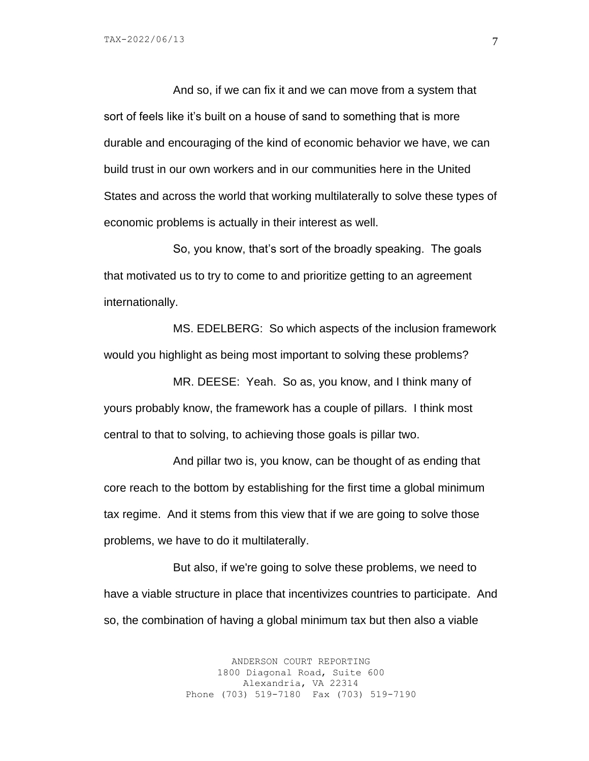And so, if we can fix it and we can move from a system that sort of feels like it's built on a house of sand to something that is more durable and encouraging of the kind of economic behavior we have, we can build trust in our own workers and in our communities here in the United States and across the world that working multilaterally to solve these types of economic problems is actually in their interest as well.

So, you know, that's sort of the broadly speaking. The goals that motivated us to try to come to and prioritize getting to an agreement internationally.

MS. EDELBERG: So which aspects of the inclusion framework would you highlight as being most important to solving these problems?

MR. DEESE: Yeah. So as, you know, and I think many of yours probably know, the framework has a couple of pillars. I think most central to that to solving, to achieving those goals is pillar two.

And pillar two is, you know, can be thought of as ending that core reach to the bottom by establishing for the first time a global minimum tax regime. And it stems from this view that if we are going to solve those problems, we have to do it multilaterally.

But also, if we're going to solve these problems, we need to have a viable structure in place that incentivizes countries to participate. And so, the combination of having a global minimum tax but then also a viable

> ANDERSON COURT REPORTING 1800 Diagonal Road, Suite 600 Alexandria, VA 22314 Phone (703) 519-7180 Fax (703) 519-7190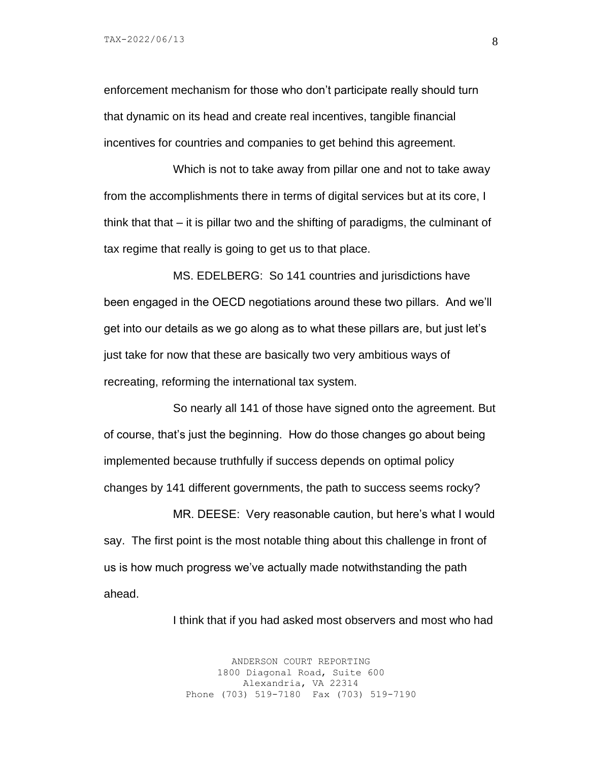enforcement mechanism for those who don't participate really should turn that dynamic on its head and create real incentives, tangible financial incentives for countries and companies to get behind this agreement.

Which is not to take away from pillar one and not to take away from the accomplishments there in terms of digital services but at its core, I think that that  $-$  it is pillar two and the shifting of paradigms, the culminant of tax regime that really is going to get us to that place.

MS. EDELBERG: So 141 countries and jurisdictions have been engaged in the OECD negotiations around these two pillars. And we'll get into our details as we go along as to what these pillars are, but just let's just take for now that these are basically two very ambitious ways of recreating, reforming the international tax system.

So nearly all 141 of those have signed onto the agreement. But of course, that's just the beginning. How do those changes go about being implemented because truthfully if success depends on optimal policy changes by 141 different governments, the path to success seems rocky?

MR. DEESE: Very reasonable caution, but here's what I would say. The first point is the most notable thing about this challenge in front of us is how much progress we've actually made notwithstanding the path ahead.

I think that if you had asked most observers and most who had

ANDERSON COURT REPORTING 1800 Diagonal Road, Suite 600 Alexandria, VA 22314 Phone (703) 519-7180 Fax (703) 519-7190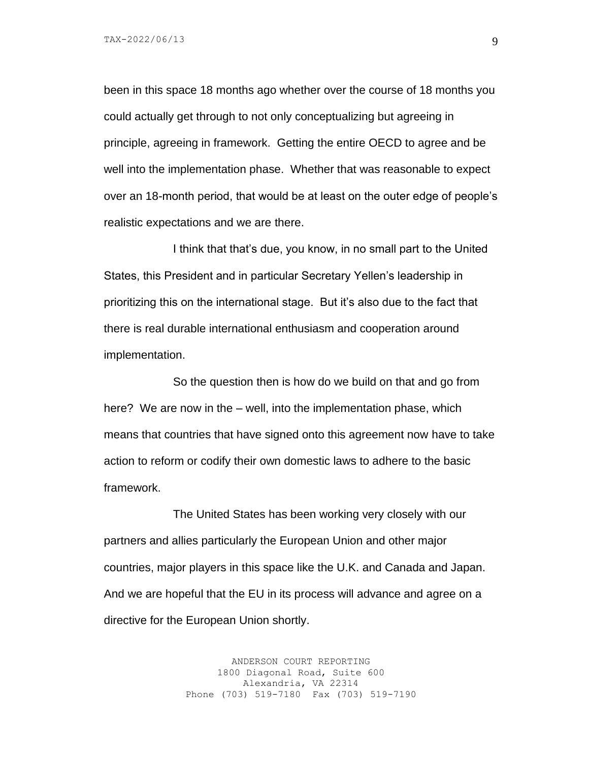been in this space 18 months ago whether over the course of 18 months you could actually get through to not only conceptualizing but agreeing in principle, agreeing in framework. Getting the entire OECD to agree and be well into the implementation phase. Whether that was reasonable to expect over an 18-month period, that would be at least on the outer edge of people's realistic expectations and we are there.

I think that that's due, you know, in no small part to the United States, this President and in particular Secretary Yellen's leadership in prioritizing this on the international stage. But it's also due to the fact that there is real durable international enthusiasm and cooperation around implementation.

So the question then is how do we build on that and go from here? We are now in the – well, into the implementation phase, which means that countries that have signed onto this agreement now have to take action to reform or codify their own domestic laws to adhere to the basic framework.

The United States has been working very closely with our partners and allies particularly the European Union and other major countries, major players in this space like the U.K. and Canada and Japan. And we are hopeful that the EU in its process will advance and agree on a directive for the European Union shortly.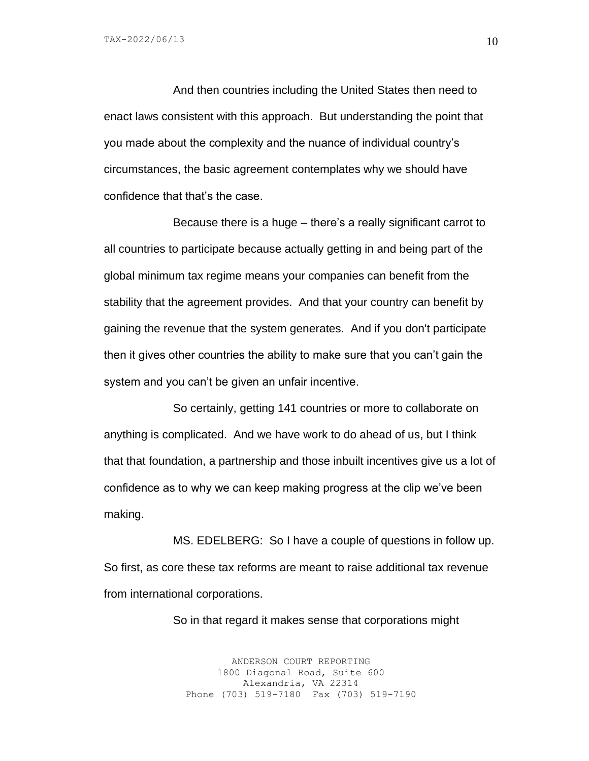And then countries including the United States then need to enact laws consistent with this approach. But understanding the point that you made about the complexity and the nuance of individual country's circumstances, the basic agreement contemplates why we should have confidence that that's the case.

Because there is a huge – there's a really significant carrot to all countries to participate because actually getting in and being part of the global minimum tax regime means your companies can benefit from the stability that the agreement provides. And that your country can benefit by gaining the revenue that the system generates. And if you don't participate then it gives other countries the ability to make sure that you can't gain the system and you can't be given an unfair incentive.

So certainly, getting 141 countries or more to collaborate on anything is complicated. And we have work to do ahead of us, but I think that that foundation, a partnership and those inbuilt incentives give us a lot of confidence as to why we can keep making progress at the clip we've been making.

MS. EDELBERG: So I have a couple of questions in follow up. So first, as core these tax reforms are meant to raise additional tax revenue from international corporations.

So in that regard it makes sense that corporations might

ANDERSON COURT REPORTING 1800 Diagonal Road, Suite 600 Alexandria, VA 22314 Phone (703) 519-7180 Fax (703) 519-7190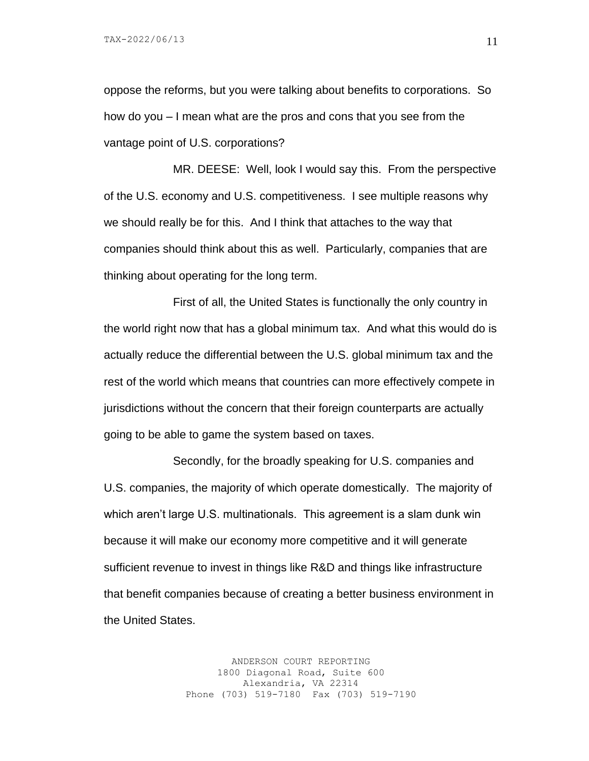oppose the reforms, but you were talking about benefits to corporations. So how do you – I mean what are the pros and cons that you see from the vantage point of U.S. corporations?

MR. DEESE: Well, look I would say this. From the perspective of the U.S. economy and U.S. competitiveness. I see multiple reasons why we should really be for this. And I think that attaches to the way that companies should think about this as well. Particularly, companies that are thinking about operating for the long term.

First of all, the United States is functionally the only country in the world right now that has a global minimum tax. And what this would do is actually reduce the differential between the U.S. global minimum tax and the rest of the world which means that countries can more effectively compete in jurisdictions without the concern that their foreign counterparts are actually going to be able to game the system based on taxes.

Secondly, for the broadly speaking for U.S. companies and U.S. companies, the majority of which operate domestically. The majority of which aren't large U.S. multinationals. This agreement is a slam dunk win because it will make our economy more competitive and it will generate sufficient revenue to invest in things like R&D and things like infrastructure that benefit companies because of creating a better business environment in the United States.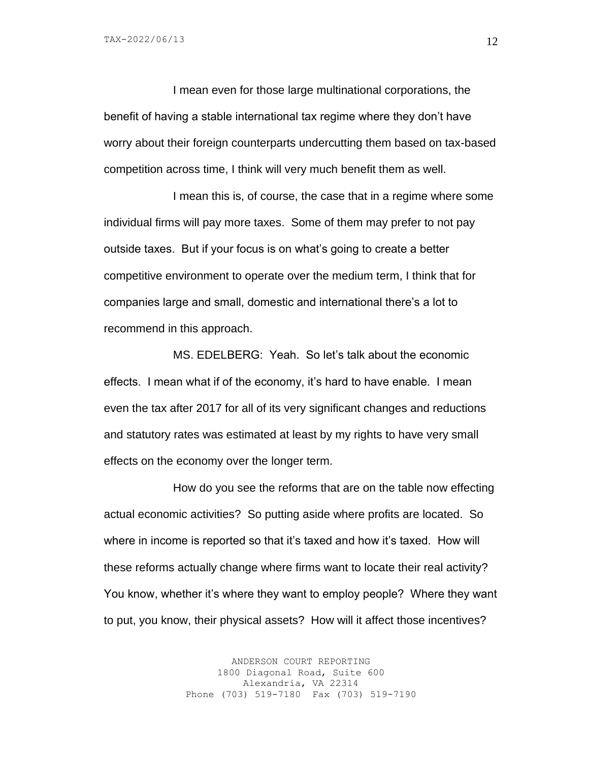I mean even for those large multinational corporations, the benefit of having a stable international tax regime where they don't have worry about their foreign counterparts undercutting them based on tax-based competition across time, I think will very much benefit them as well.

I mean this is, of course, the case that in a regime where some individual firms will pay more taxes. Some of them may prefer to not pay outside taxes. But if your focus is on what's going to create a better competitive environment to operate over the medium term, I think that for companies large and small, domestic and international there's a lot to recommend in this approach.

MS. EDELBERG: Yeah. So let's talk about the economic effects. I mean what if of the economy, it's hard to have enable. I mean even the tax after 2017 for all of its very significant changes and reductions and statutory rates was estimated at least by my rights to have very small effects on the economy over the longer term.

How do you see the reforms that are on the table now effecting actual economic activities? So putting aside where profits are located. So where in income is reported so that it's taxed and how it's taxed. How will these reforms actually change where firms want to locate their real activity? You know, whether it's where they want to employ people? Where they want to put, you know, their physical assets? How will it affect those incentives?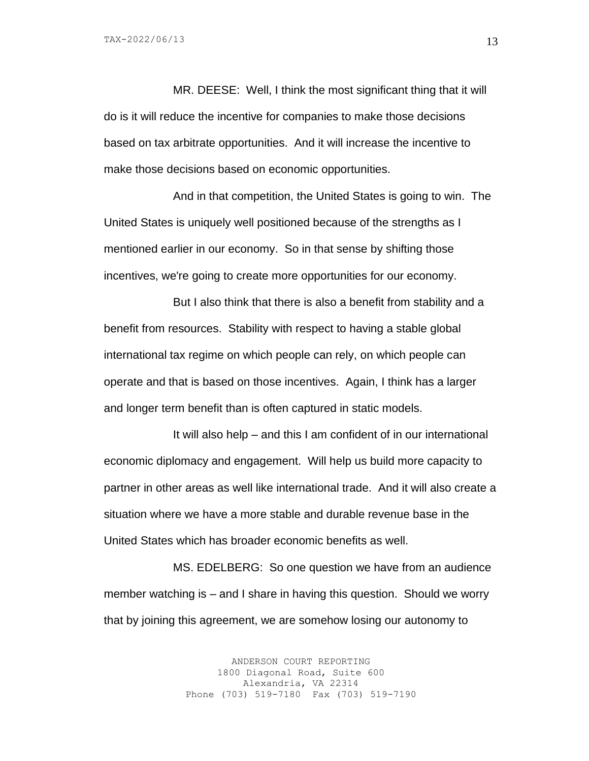MR. DEESE: Well, I think the most significant thing that it will do is it will reduce the incentive for companies to make those decisions based on tax arbitrate opportunities. And it will increase the incentive to make those decisions based on economic opportunities.

And in that competition, the United States is going to win. The United States is uniquely well positioned because of the strengths as I mentioned earlier in our economy. So in that sense by shifting those incentives, we're going to create more opportunities for our economy.

But I also think that there is also a benefit from stability and a benefit from resources. Stability with respect to having a stable global international tax regime on which people can rely, on which people can operate and that is based on those incentives. Again, I think has a larger and longer term benefit than is often captured in static models.

It will also help – and this I am confident of in our international economic diplomacy and engagement. Will help us build more capacity to partner in other areas as well like international trade. And it will also create a situation where we have a more stable and durable revenue base in the United States which has broader economic benefits as well.

MS. EDELBERG: So one question we have from an audience member watching is – and I share in having this question. Should we worry that by joining this agreement, we are somehow losing our autonomy to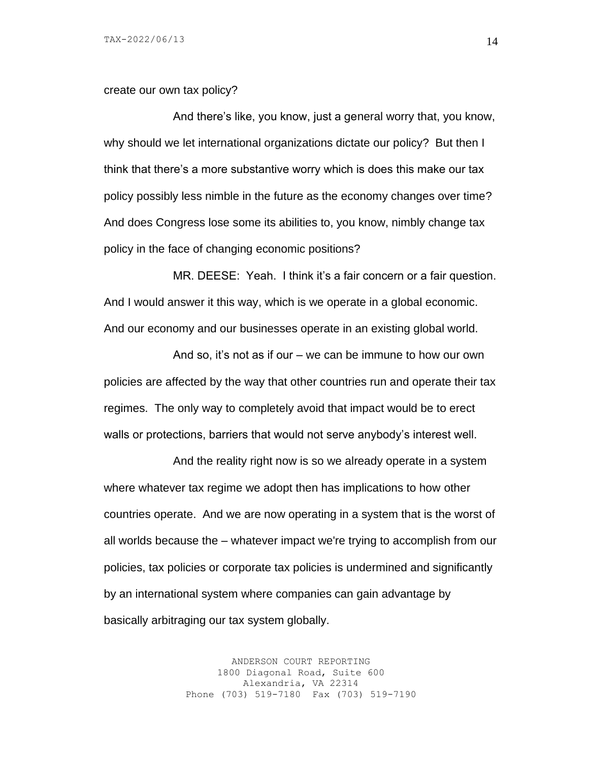create our own tax policy?

And there's like, you know, just a general worry that, you know, why should we let international organizations dictate our policy? But then I think that there's a more substantive worry which is does this make our tax policy possibly less nimble in the future as the economy changes over time? And does Congress lose some its abilities to, you know, nimbly change tax policy in the face of changing economic positions?

MR. DEESE: Yeah. I think it's a fair concern or a fair question. And I would answer it this way, which is we operate in a global economic. And our economy and our businesses operate in an existing global world.

And so, it's not as if our – we can be immune to how our own policies are affected by the way that other countries run and operate their tax regimes. The only way to completely avoid that impact would be to erect walls or protections, barriers that would not serve anybody's interest well.

And the reality right now is so we already operate in a system where whatever tax regime we adopt then has implications to how other countries operate. And we are now operating in a system that is the worst of all worlds because the – whatever impact we're trying to accomplish from our policies, tax policies or corporate tax policies is undermined and significantly by an international system where companies can gain advantage by basically arbitraging our tax system globally.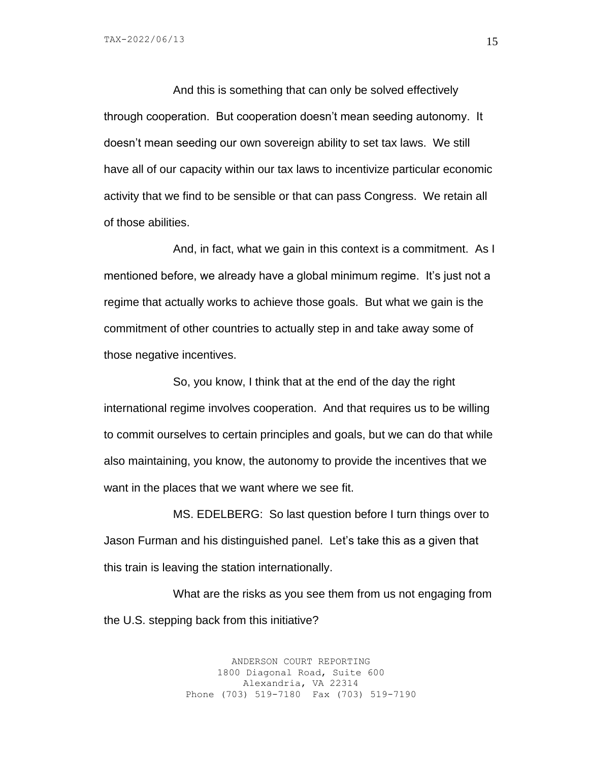TAX-2022/06/13

And this is something that can only be solved effectively through cooperation. But cooperation doesn't mean seeding autonomy. It doesn't mean seeding our own sovereign ability to set tax laws. We still have all of our capacity within our tax laws to incentivize particular economic activity that we find to be sensible or that can pass Congress. We retain all of those abilities.

And, in fact, what we gain in this context is a commitment. As I mentioned before, we already have a global minimum regime. It's just not a regime that actually works to achieve those goals. But what we gain is the commitment of other countries to actually step in and take away some of those negative incentives.

So, you know, I think that at the end of the day the right international regime involves cooperation. And that requires us to be willing to commit ourselves to certain principles and goals, but we can do that while also maintaining, you know, the autonomy to provide the incentives that we want in the places that we want where we see fit.

MS. EDELBERG: So last question before I turn things over to Jason Furman and his distinguished panel. Let's take this as a given that this train is leaving the station internationally.

What are the risks as you see them from us not engaging from the U.S. stepping back from this initiative?

> ANDERSON COURT REPORTING 1800 Diagonal Road, Suite 600 Alexandria, VA 22314 Phone (703) 519-7180 Fax (703) 519-7190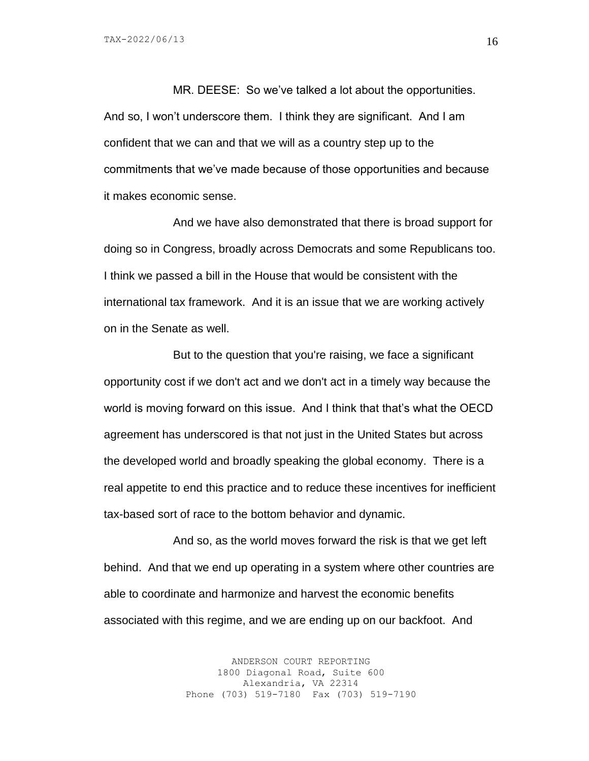MR. DEESE: So we've talked a lot about the opportunities. And so, I won't underscore them. I think they are significant. And I am confident that we can and that we will as a country step up to the commitments that we've made because of those opportunities and because it makes economic sense.

And we have also demonstrated that there is broad support for doing so in Congress, broadly across Democrats and some Republicans too. I think we passed a bill in the House that would be consistent with the international tax framework. And it is an issue that we are working actively on in the Senate as well.

But to the question that you're raising, we face a significant opportunity cost if we don't act and we don't act in a timely way because the world is moving forward on this issue. And I think that that's what the OECD agreement has underscored is that not just in the United States but across the developed world and broadly speaking the global economy. There is a real appetite to end this practice and to reduce these incentives for inefficient tax-based sort of race to the bottom behavior and dynamic.

And so, as the world moves forward the risk is that we get left behind. And that we end up operating in a system where other countries are able to coordinate and harmonize and harvest the economic benefits associated with this regime, and we are ending up on our backfoot. And

> ANDERSON COURT REPORTING 1800 Diagonal Road, Suite 600 Alexandria, VA 22314 Phone (703) 519-7180 Fax (703) 519-7190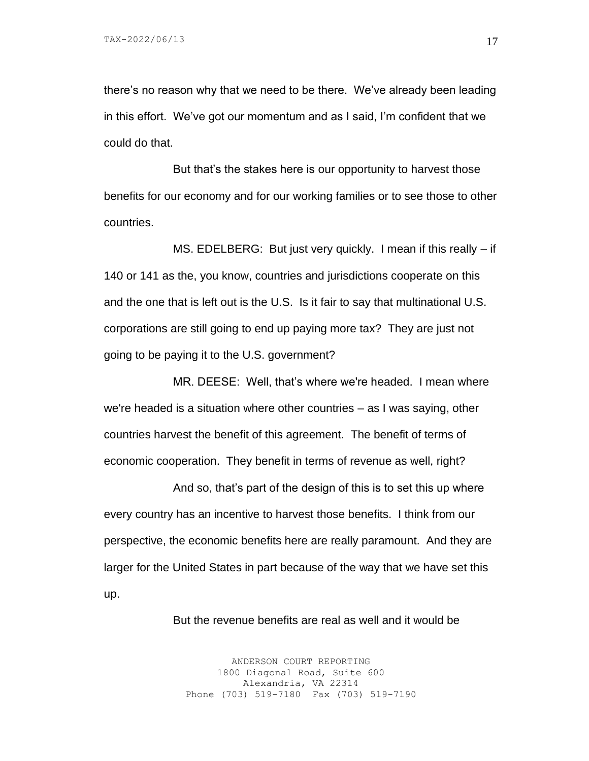there's no reason why that we need to be there. We've already been leading in this effort. We've got our momentum and as I said, I'm confident that we could do that.

But that's the stakes here is our opportunity to harvest those benefits for our economy and for our working families or to see those to other countries.

MS. EDELBERG: But just very quickly. I mean if this really – if 140 or 141 as the, you know, countries and jurisdictions cooperate on this and the one that is left out is the U.S. Is it fair to say that multinational U.S. corporations are still going to end up paying more tax? They are just not going to be paying it to the U.S. government?

MR. DEESE: Well, that's where we're headed. I mean where we're headed is a situation where other countries – as I was saying, other countries harvest the benefit of this agreement. The benefit of terms of economic cooperation. They benefit in terms of revenue as well, right?

And so, that's part of the design of this is to set this up where every country has an incentive to harvest those benefits. I think from our perspective, the economic benefits here are really paramount. And they are larger for the United States in part because of the way that we have set this up.

But the revenue benefits are real as well and it would be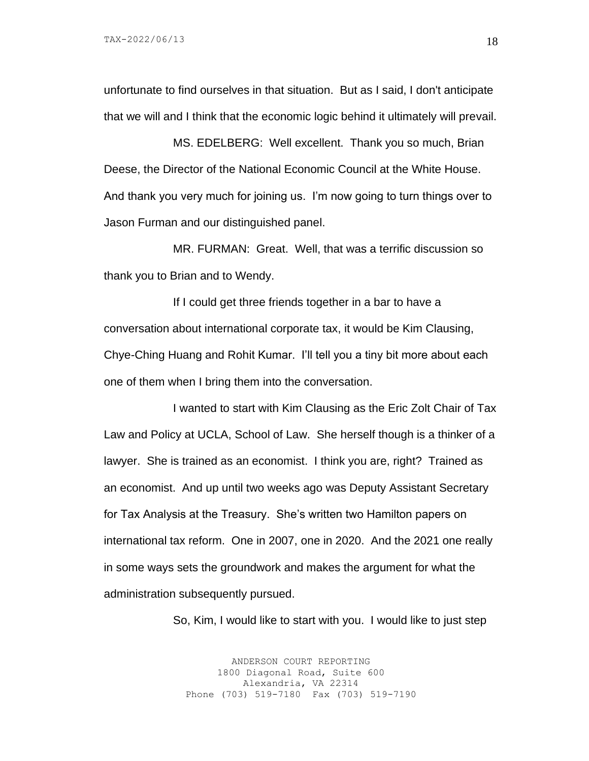unfortunate to find ourselves in that situation. But as I said, I don't anticipate that we will and I think that the economic logic behind it ultimately will prevail.

MS. EDELBERG: Well excellent. Thank you so much, Brian Deese, the Director of the National Economic Council at the White House. And thank you very much for joining us. I'm now going to turn things over to Jason Furman and our distinguished panel.

MR. FURMAN: Great. Well, that was a terrific discussion so thank you to Brian and to Wendy.

If I could get three friends together in a bar to have a conversation about international corporate tax, it would be Kim Clausing, Chye-Ching Huang and Rohit Kumar. I'll tell you a tiny bit more about each one of them when I bring them into the conversation.

I wanted to start with Kim Clausing as the Eric Zolt Chair of Tax Law and Policy at UCLA, School of Law. She herself though is a thinker of a lawyer. She is trained as an economist. I think you are, right? Trained as an economist. And up until two weeks ago was Deputy Assistant Secretary for Tax Analysis at the Treasury. She's written two Hamilton papers on international tax reform. One in 2007, one in 2020. And the 2021 one really in some ways sets the groundwork and makes the argument for what the administration subsequently pursued.

So, Kim, I would like to start with you. I would like to just step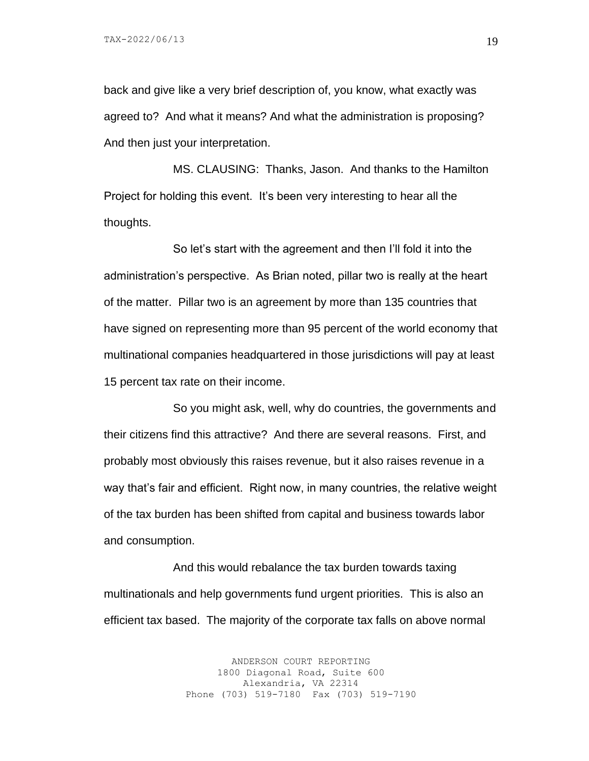back and give like a very brief description of, you know, what exactly was agreed to? And what it means? And what the administration is proposing? And then just your interpretation.

MS. CLAUSING: Thanks, Jason. And thanks to the Hamilton Project for holding this event. It's been very interesting to hear all the thoughts.

So let's start with the agreement and then I'll fold it into the administration's perspective. As Brian noted, pillar two is really at the heart of the matter. Pillar two is an agreement by more than 135 countries that have signed on representing more than 95 percent of the world economy that multinational companies headquartered in those jurisdictions will pay at least 15 percent tax rate on their income.

So you might ask, well, why do countries, the governments and their citizens find this attractive? And there are several reasons. First, and probably most obviously this raises revenue, but it also raises revenue in a way that's fair and efficient. Right now, in many countries, the relative weight of the tax burden has been shifted from capital and business towards labor and consumption.

And this would rebalance the tax burden towards taxing multinationals and help governments fund urgent priorities. This is also an efficient tax based. The majority of the corporate tax falls on above normal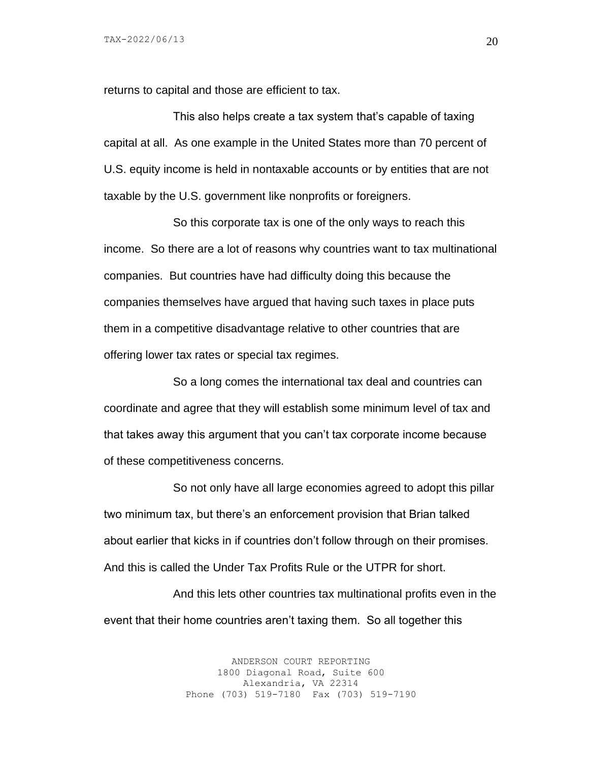returns to capital and those are efficient to tax.

This also helps create a tax system that's capable of taxing capital at all. As one example in the United States more than 70 percent of U.S. equity income is held in nontaxable accounts or by entities that are not taxable by the U.S. government like nonprofits or foreigners.

So this corporate tax is one of the only ways to reach this income. So there are a lot of reasons why countries want to tax multinational companies. But countries have had difficulty doing this because the companies themselves have argued that having such taxes in place puts them in a competitive disadvantage relative to other countries that are offering lower tax rates or special tax regimes.

So a long comes the international tax deal and countries can coordinate and agree that they will establish some minimum level of tax and that takes away this argument that you can't tax corporate income because of these competitiveness concerns.

So not only have all large economies agreed to adopt this pillar two minimum tax, but there's an enforcement provision that Brian talked about earlier that kicks in if countries don't follow through on their promises. And this is called the Under Tax Profits Rule or the UTPR for short.

And this lets other countries tax multinational profits even in the event that their home countries aren't taxing them. So all together this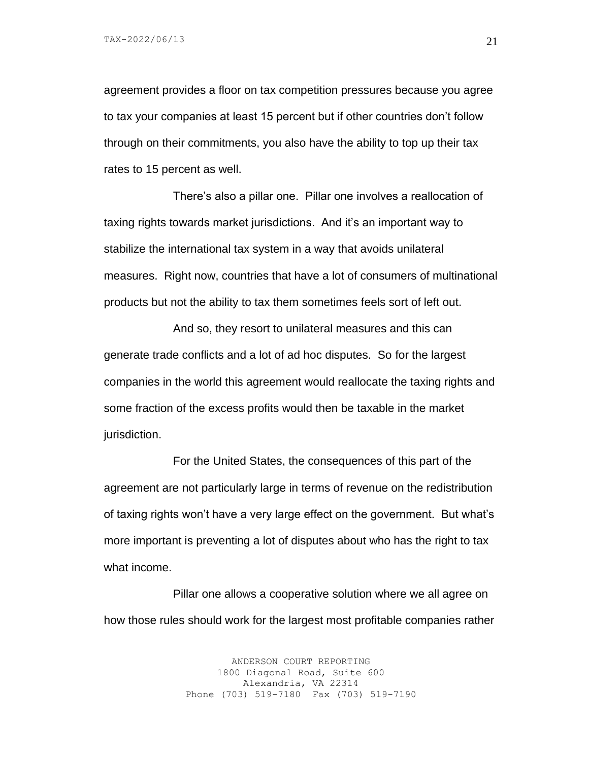TAX-2022/06/13

agreement provides a floor on tax competition pressures because you agree to tax your companies at least 15 percent but if other countries don't follow through on their commitments, you also have the ability to top up their tax rates to 15 percent as well.

There's also a pillar one. Pillar one involves a reallocation of taxing rights towards market jurisdictions. And it's an important way to stabilize the international tax system in a way that avoids unilateral measures. Right now, countries that have a lot of consumers of multinational products but not the ability to tax them sometimes feels sort of left out.

And so, they resort to unilateral measures and this can generate trade conflicts and a lot of ad hoc disputes. So for the largest companies in the world this agreement would reallocate the taxing rights and some fraction of the excess profits would then be taxable in the market jurisdiction.

For the United States, the consequences of this part of the agreement are not particularly large in terms of revenue on the redistribution of taxing rights won't have a very large effect on the government. But what's more important is preventing a lot of disputes about who has the right to tax what income.

Pillar one allows a cooperative solution where we all agree on how those rules should work for the largest most profitable companies rather

> ANDERSON COURT REPORTING 1800 Diagonal Road, Suite 600 Alexandria, VA 22314 Phone (703) 519-7180 Fax (703) 519-7190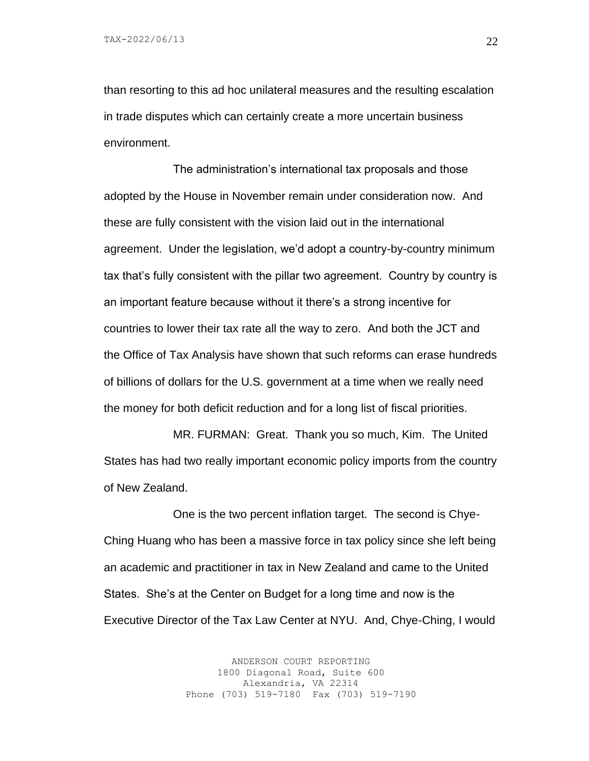than resorting to this ad hoc unilateral measures and the resulting escalation in trade disputes which can certainly create a more uncertain business environment.

The administration's international tax proposals and those adopted by the House in November remain under consideration now. And these are fully consistent with the vision laid out in the international agreement. Under the legislation, we'd adopt a country-by-country minimum tax that's fully consistent with the pillar two agreement. Country by country is an important feature because without it there's a strong incentive for countries to lower their tax rate all the way to zero. And both the JCT and the Office of Tax Analysis have shown that such reforms can erase hundreds of billions of dollars for the U.S. government at a time when we really need the money for both deficit reduction and for a long list of fiscal priorities.

MR. FURMAN: Great. Thank you so much, Kim. The United States has had two really important economic policy imports from the country of New Zealand.

One is the two percent inflation target. The second is Chye-Ching Huang who has been a massive force in tax policy since she left being an academic and practitioner in tax in New Zealand and came to the United States. She's at the Center on Budget for a long time and now is the Executive Director of the Tax Law Center at NYU. And, Chye-Ching, I would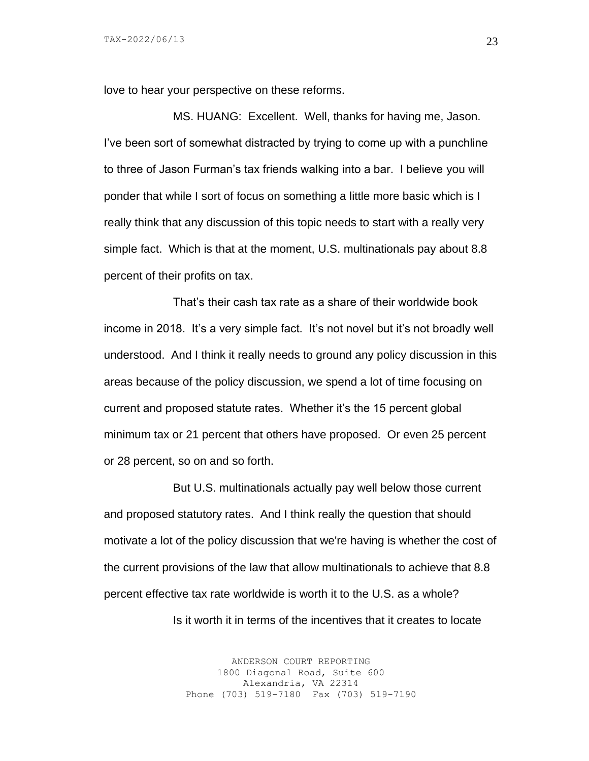love to hear your perspective on these reforms.

MS. HUANG: Excellent. Well, thanks for having me, Jason. I've been sort of somewhat distracted by trying to come up with a punchline to three of Jason Furman's tax friends walking into a bar. I believe you will ponder that while I sort of focus on something a little more basic which is I really think that any discussion of this topic needs to start with a really very simple fact. Which is that at the moment, U.S. multinationals pay about 8.8 percent of their profits on tax.

That's their cash tax rate as a share of their worldwide book income in 2018. It's a very simple fact. It's not novel but it's not broadly well understood. And I think it really needs to ground any policy discussion in this areas because of the policy discussion, we spend a lot of time focusing on current and proposed statute rates. Whether it's the 15 percent global minimum tax or 21 percent that others have proposed. Or even 25 percent or 28 percent, so on and so forth.

But U.S. multinationals actually pay well below those current and proposed statutory rates. And I think really the question that should motivate a lot of the policy discussion that we're having is whether the cost of the current provisions of the law that allow multinationals to achieve that 8.8 percent effective tax rate worldwide is worth it to the U.S. as a whole? Is it worth it in terms of the incentives that it creates to locate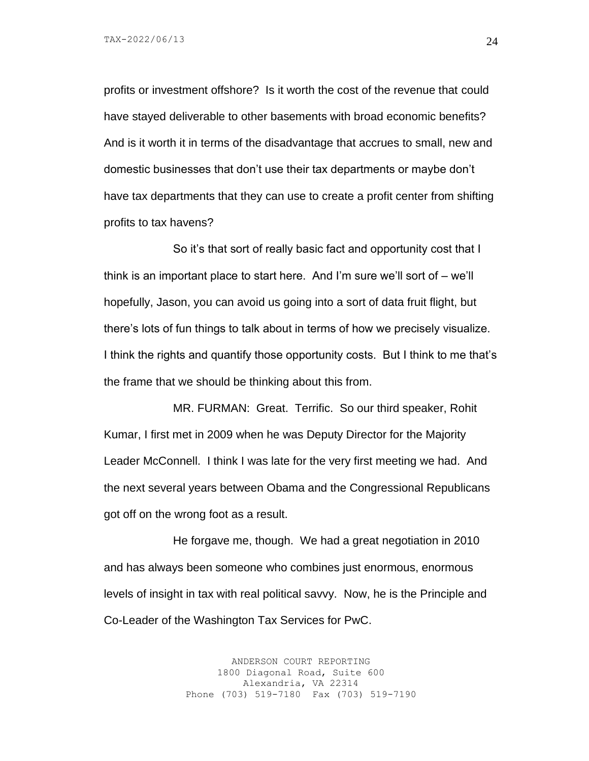profits or investment offshore? Is it worth the cost of the revenue that could have stayed deliverable to other basements with broad economic benefits? And is it worth it in terms of the disadvantage that accrues to small, new and domestic businesses that don't use their tax departments or maybe don't have tax departments that they can use to create a profit center from shifting profits to tax havens?

So it's that sort of really basic fact and opportunity cost that I think is an important place to start here. And I'm sure we'll sort of – we'll hopefully, Jason, you can avoid us going into a sort of data fruit flight, but there's lots of fun things to talk about in terms of how we precisely visualize. I think the rights and quantify those opportunity costs. But I think to me that's the frame that we should be thinking about this from.

MR. FURMAN: Great. Terrific. So our third speaker, Rohit Kumar, I first met in 2009 when he was Deputy Director for the Majority Leader McConnell. I think I was late for the very first meeting we had. And the next several years between Obama and the Congressional Republicans got off on the wrong foot as a result.

He forgave me, though. We had a great negotiation in 2010 and has always been someone who combines just enormous, enormous levels of insight in tax with real political savvy. Now, he is the Principle and Co-Leader of the Washington Tax Services for PwC.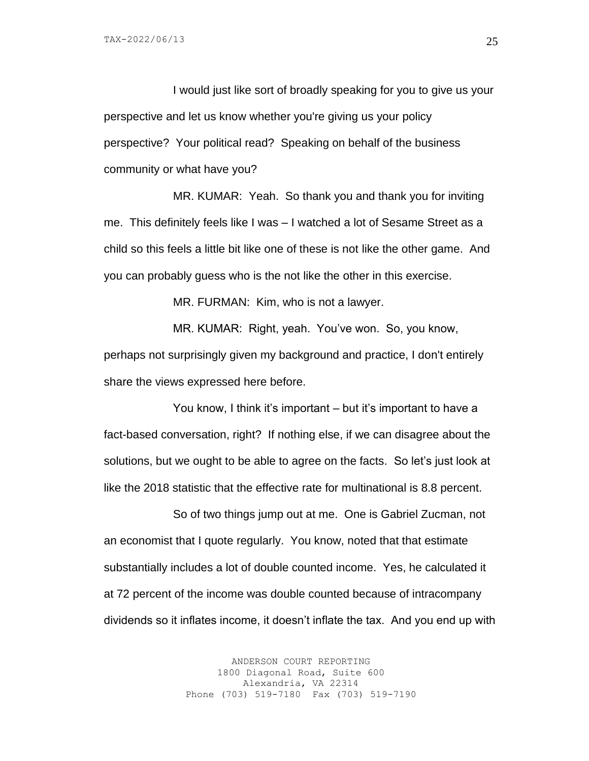I would just like sort of broadly speaking for you to give us your perspective and let us know whether you're giving us your policy perspective? Your political read? Speaking on behalf of the business community or what have you?

MR. KUMAR: Yeah. So thank you and thank you for inviting me. This definitely feels like I was – I watched a lot of Sesame Street as a child so this feels a little bit like one of these is not like the other game. And you can probably guess who is the not like the other in this exercise.

MR. FURMAN: Kim, who is not a lawyer.

MR. KUMAR: Right, yeah. You've won. So, you know, perhaps not surprisingly given my background and practice, I don't entirely share the views expressed here before.

You know, I think it's important – but it's important to have a fact-based conversation, right? If nothing else, if we can disagree about the solutions, but we ought to be able to agree on the facts. So let's just look at like the 2018 statistic that the effective rate for multinational is 8.8 percent.

So of two things jump out at me. One is Gabriel Zucman, not an economist that I quote regularly. You know, noted that that estimate substantially includes a lot of double counted income. Yes, he calculated it at 72 percent of the income was double counted because of intracompany dividends so it inflates income, it doesn't inflate the tax. And you end up with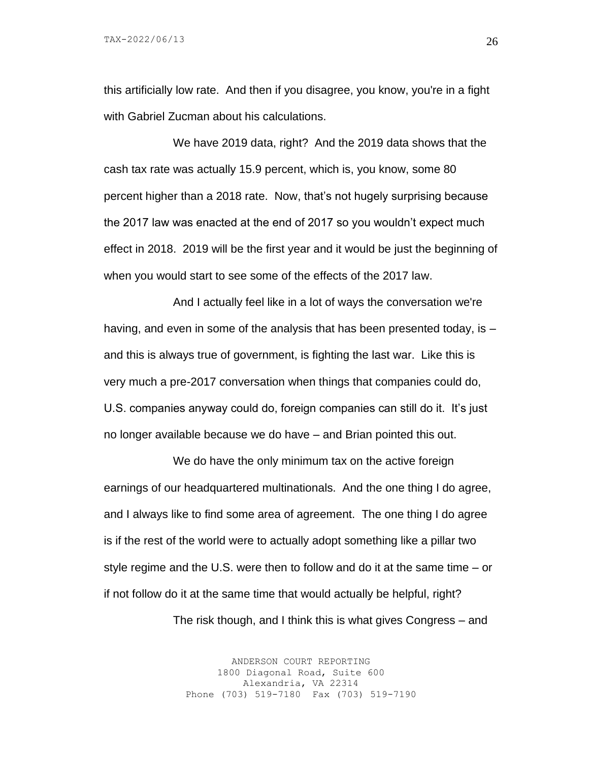this artificially low rate. And then if you disagree, you know, you're in a fight with Gabriel Zucman about his calculations.

We have 2019 data, right? And the 2019 data shows that the cash tax rate was actually 15.9 percent, which is, you know, some 80 percent higher than a 2018 rate. Now, that's not hugely surprising because the 2017 law was enacted at the end of 2017 so you wouldn't expect much effect in 2018. 2019 will be the first year and it would be just the beginning of when you would start to see some of the effects of the 2017 law.

And I actually feel like in a lot of ways the conversation we're having, and even in some of the analysis that has been presented today, is – and this is always true of government, is fighting the last war. Like this is very much a pre-2017 conversation when things that companies could do, U.S. companies anyway could do, foreign companies can still do it. It's just no longer available because we do have – and Brian pointed this out.

We do have the only minimum tax on the active foreign earnings of our headquartered multinationals. And the one thing I do agree, and I always like to find some area of agreement. The one thing I do agree is if the rest of the world were to actually adopt something like a pillar two style regime and the U.S. were then to follow and do it at the same time – or if not follow do it at the same time that would actually be helpful, right?

The risk though, and I think this is what gives Congress – and

ANDERSON COURT REPORTING 1800 Diagonal Road, Suite 600 Alexandria, VA 22314 Phone (703) 519-7180 Fax (703) 519-7190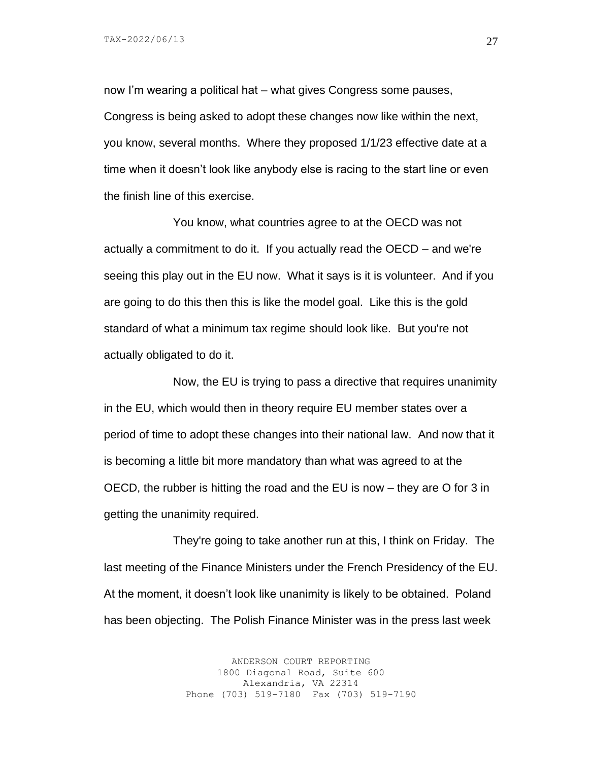now I'm wearing a political hat – what gives Congress some pauses, Congress is being asked to adopt these changes now like within the next, you know, several months. Where they proposed 1/1/23 effective date at a time when it doesn't look like anybody else is racing to the start line or even the finish line of this exercise.

You know, what countries agree to at the OECD was not actually a commitment to do it. If you actually read the OECD – and we're seeing this play out in the EU now. What it says is it is volunteer. And if you are going to do this then this is like the model goal. Like this is the gold standard of what a minimum tax regime should look like. But you're not actually obligated to do it.

Now, the EU is trying to pass a directive that requires unanimity in the EU, which would then in theory require EU member states over a period of time to adopt these changes into their national law. And now that it is becoming a little bit more mandatory than what was agreed to at the OECD, the rubber is hitting the road and the EU is now – they are O for 3 in getting the unanimity required.

They're going to take another run at this, I think on Friday. The last meeting of the Finance Ministers under the French Presidency of the EU. At the moment, it doesn't look like unanimity is likely to be obtained. Poland has been objecting. The Polish Finance Minister was in the press last week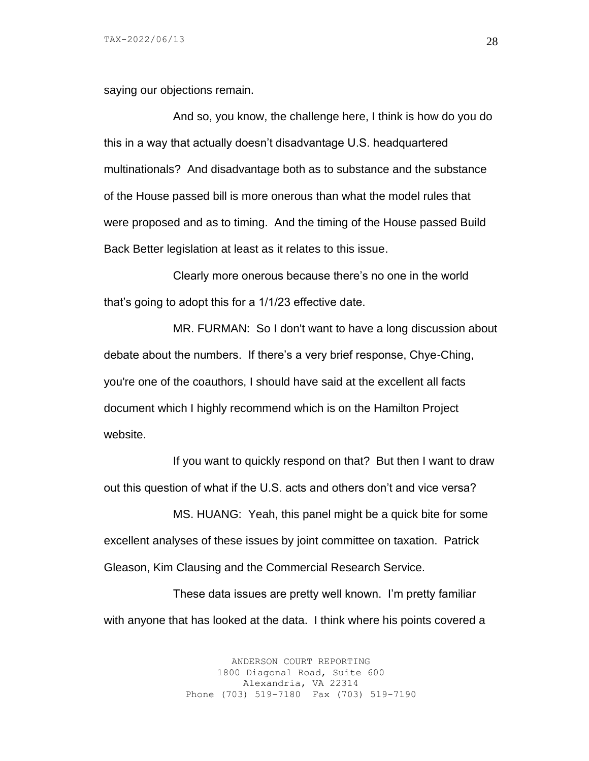saying our objections remain.

And so, you know, the challenge here, I think is how do you do this in a way that actually doesn't disadvantage U.S. headquartered multinationals? And disadvantage both as to substance and the substance of the House passed bill is more onerous than what the model rules that were proposed and as to timing. And the timing of the House passed Build Back Better legislation at least as it relates to this issue.

Clearly more onerous because there's no one in the world that's going to adopt this for a 1/1/23 effective date.

MR. FURMAN: So I don't want to have a long discussion about debate about the numbers. If there's a very brief response, Chye-Ching, you're one of the coauthors, I should have said at the excellent all facts document which I highly recommend which is on the Hamilton Project website.

If you want to quickly respond on that? But then I want to draw out this question of what if the U.S. acts and others don't and vice versa?

MS. HUANG: Yeah, this panel might be a quick bite for some excellent analyses of these issues by joint committee on taxation. Patrick Gleason, Kim Clausing and the Commercial Research Service.

These data issues are pretty well known. I'm pretty familiar with anyone that has looked at the data. I think where his points covered a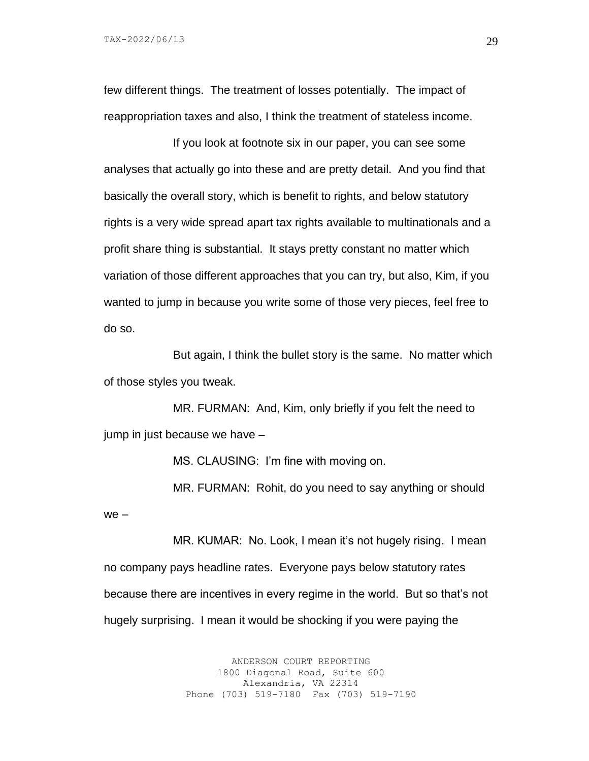TAX-2022/06/13

we –

few different things. The treatment of losses potentially. The impact of reappropriation taxes and also, I think the treatment of stateless income.

If you look at footnote six in our paper, you can see some analyses that actually go into these and are pretty detail. And you find that basically the overall story, which is benefit to rights, and below statutory rights is a very wide spread apart tax rights available to multinationals and a profit share thing is substantial. It stays pretty constant no matter which variation of those different approaches that you can try, but also, Kim, if you wanted to jump in because you write some of those very pieces, feel free to do so.

But again, I think the bullet story is the same. No matter which of those styles you tweak.

MR. FURMAN: And, Kim, only briefly if you felt the need to jump in just because we have –

MS. CLAUSING: I'm fine with moving on.

MR. FURMAN: Rohit, do you need to say anything or should

MR. KUMAR: No. Look, I mean it's not hugely rising. I mean no company pays headline rates. Everyone pays below statutory rates because there are incentives in every regime in the world. But so that's not hugely surprising. I mean it would be shocking if you were paying the

> ANDERSON COURT REPORTING 1800 Diagonal Road, Suite 600 Alexandria, VA 22314 Phone (703) 519-7180 Fax (703) 519-7190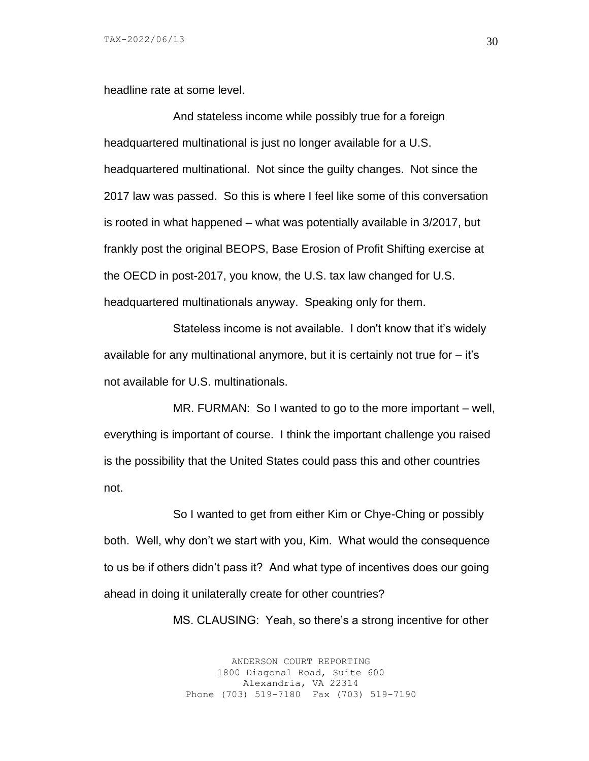headline rate at some level.

And stateless income while possibly true for a foreign headquartered multinational is just no longer available for a U.S. headquartered multinational. Not since the guilty changes. Not since the 2017 law was passed. So this is where I feel like some of this conversation is rooted in what happened – what was potentially available in 3/2017, but frankly post the original BEOPS, Base Erosion of Profit Shifting exercise at the OECD in post-2017, you know, the U.S. tax law changed for U.S. headquartered multinationals anyway. Speaking only for them.

Stateless income is not available. I don't know that it's widely available for any multinational anymore, but it is certainly not true for – it's not available for U.S. multinationals.

MR. FURMAN: So I wanted to go to the more important – well, everything is important of course. I think the important challenge you raised is the possibility that the United States could pass this and other countries not.

So I wanted to get from either Kim or Chye-Ching or possibly both. Well, why don't we start with you, Kim. What would the consequence to us be if others didn't pass it? And what type of incentives does our going ahead in doing it unilaterally create for other countries?

MS. CLAUSING: Yeah, so there's a strong incentive for other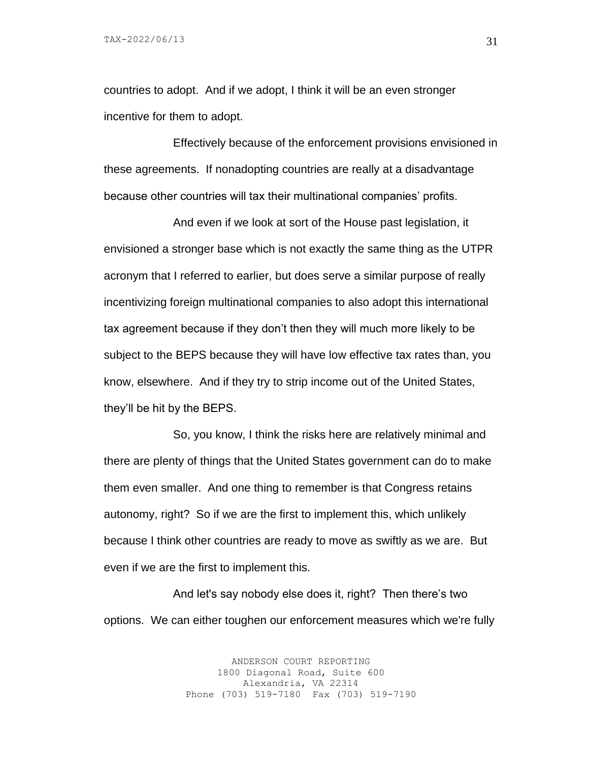countries to adopt. And if we adopt, I think it will be an even stronger incentive for them to adopt.

Effectively because of the enforcement provisions envisioned in these agreements. If nonadopting countries are really at a disadvantage because other countries will tax their multinational companies' profits.

And even if we look at sort of the House past legislation, it envisioned a stronger base which is not exactly the same thing as the UTPR acronym that I referred to earlier, but does serve a similar purpose of really incentivizing foreign multinational companies to also adopt this international tax agreement because if they don't then they will much more likely to be subject to the BEPS because they will have low effective tax rates than, you know, elsewhere. And if they try to strip income out of the United States, they'll be hit by the BEPS.

So, you know, I think the risks here are relatively minimal and there are plenty of things that the United States government can do to make them even smaller. And one thing to remember is that Congress retains autonomy, right? So if we are the first to implement this, which unlikely because I think other countries are ready to move as swiftly as we are. But even if we are the first to implement this.

And let's say nobody else does it, right? Then there's two options. We can either toughen our enforcement measures which we're fully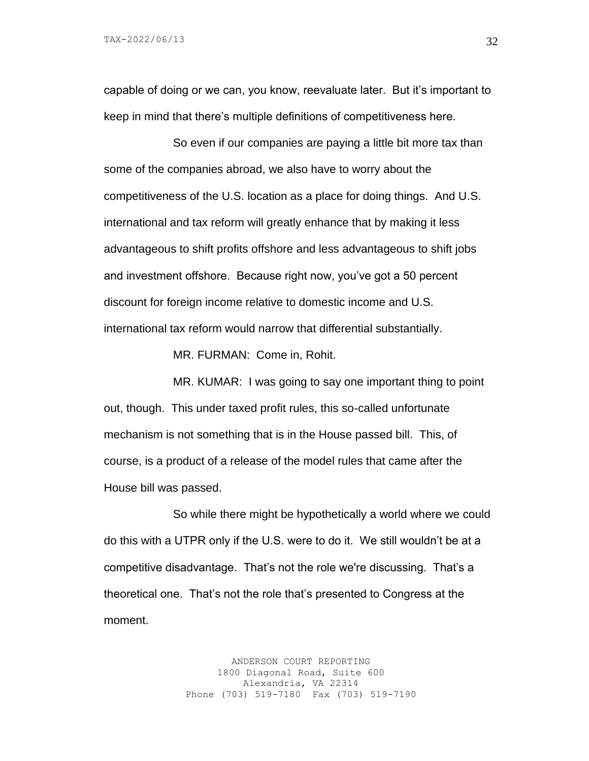capable of doing or we can, you know, reevaluate later. But it's important to keep in mind that there's multiple definitions of competitiveness here.

So even if our companies are paying a little bit more tax than some of the companies abroad, we also have to worry about the competitiveness of the U.S. location as a place for doing things. And U.S. international and tax reform will greatly enhance that by making it less advantageous to shift profits offshore and less advantageous to shift jobs and investment offshore. Because right now, you've got a 50 percent discount for foreign income relative to domestic income and U.S. international tax reform would narrow that differential substantially.

MR. FURMAN: Come in, Rohit.

MR. KUMAR: I was going to say one important thing to point out, though. This under taxed profit rules, this so-called unfortunate mechanism is not something that is in the House passed bill. This, of course, is a product of a release of the model rules that came after the House bill was passed.

So while there might be hypothetically a world where we could do this with a UTPR only if the U.S. were to do it. We still wouldn't be at a competitive disadvantage. That's not the role we're discussing. That's a theoretical one. That's not the role that's presented to Congress at the moment.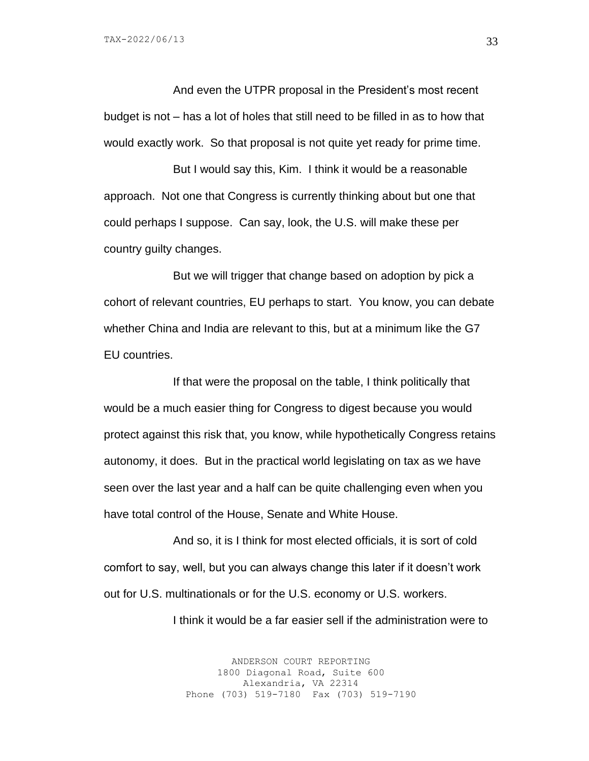And even the UTPR proposal in the President's most recent budget is not – has a lot of holes that still need to be filled in as to how that would exactly work. So that proposal is not quite yet ready for prime time.

But I would say this, Kim. I think it would be a reasonable approach. Not one that Congress is currently thinking about but one that could perhaps I suppose. Can say, look, the U.S. will make these per country guilty changes.

But we will trigger that change based on adoption by pick a cohort of relevant countries, EU perhaps to start. You know, you can debate whether China and India are relevant to this, but at a minimum like the G7 EU countries.

If that were the proposal on the table, I think politically that would be a much easier thing for Congress to digest because you would protect against this risk that, you know, while hypothetically Congress retains autonomy, it does. But in the practical world legislating on tax as we have seen over the last year and a half can be quite challenging even when you have total control of the House, Senate and White House.

And so, it is I think for most elected officials, it is sort of cold comfort to say, well, but you can always change this later if it doesn't work out for U.S. multinationals or for the U.S. economy or U.S. workers.

I think it would be a far easier sell if the administration were to

ANDERSON COURT REPORTING 1800 Diagonal Road, Suite 600 Alexandria, VA 22314 Phone (703) 519-7180 Fax (703) 519-7190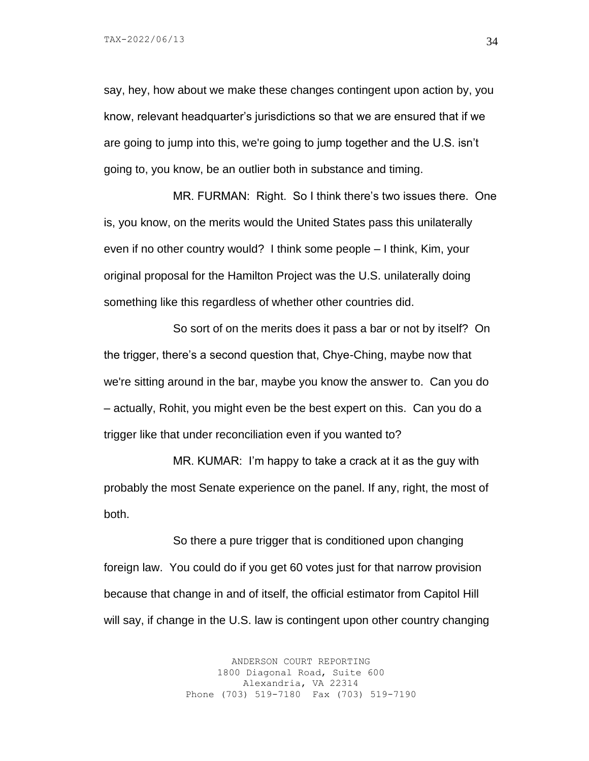say, hey, how about we make these changes contingent upon action by, you know, relevant headquarter's jurisdictions so that we are ensured that if we are going to jump into this, we're going to jump together and the U.S. isn't going to, you know, be an outlier both in substance and timing.

MR. FURMAN: Right. So I think there's two issues there. One is, you know, on the merits would the United States pass this unilaterally even if no other country would? I think some people – I think, Kim, your original proposal for the Hamilton Project was the U.S. unilaterally doing something like this regardless of whether other countries did.

So sort of on the merits does it pass a bar or not by itself? On the trigger, there's a second question that, Chye-Ching, maybe now that we're sitting around in the bar, maybe you know the answer to. Can you do – actually, Rohit, you might even be the best expert on this. Can you do a trigger like that under reconciliation even if you wanted to?

MR. KUMAR: I'm happy to take a crack at it as the guy with probably the most Senate experience on the panel. If any, right, the most of both.

So there a pure trigger that is conditioned upon changing foreign law. You could do if you get 60 votes just for that narrow provision because that change in and of itself, the official estimator from Capitol Hill will say, if change in the U.S. law is contingent upon other country changing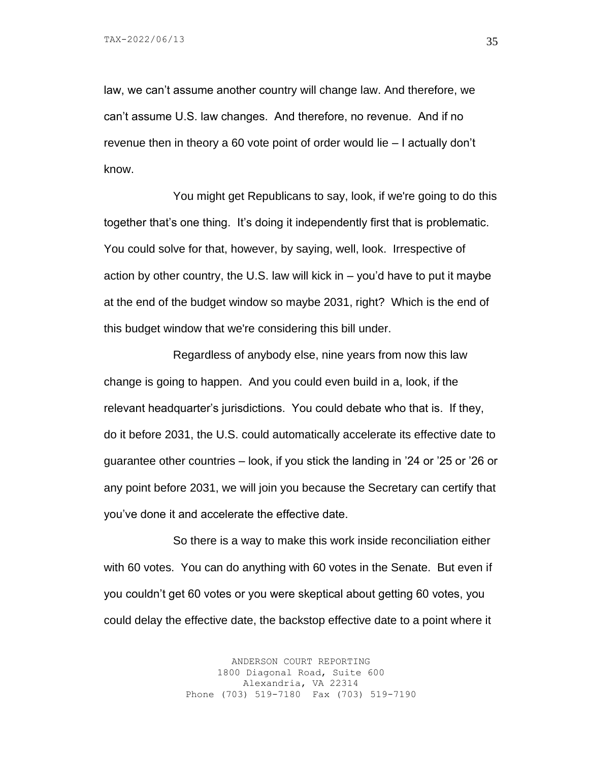law, we can't assume another country will change law. And therefore, we can't assume U.S. law changes. And therefore, no revenue. And if no revenue then in theory a 60 vote point of order would lie – I actually don't know.

You might get Republicans to say, look, if we're going to do this together that's one thing. It's doing it independently first that is problematic. You could solve for that, however, by saying, well, look. Irrespective of action by other country, the U.S. law will kick in – you'd have to put it maybe at the end of the budget window so maybe 2031, right? Which is the end of this budget window that we're considering this bill under.

Regardless of anybody else, nine years from now this law change is going to happen. And you could even build in a, look, if the relevant headquarter's jurisdictions. You could debate who that is. If they, do it before 2031, the U.S. could automatically accelerate its effective date to guarantee other countries – look, if you stick the landing in '24 or '25 or '26 or any point before 2031, we will join you because the Secretary can certify that you've done it and accelerate the effective date.

So there is a way to make this work inside reconciliation either with 60 votes. You can do anything with 60 votes in the Senate. But even if you couldn't get 60 votes or you were skeptical about getting 60 votes, you could delay the effective date, the backstop effective date to a point where it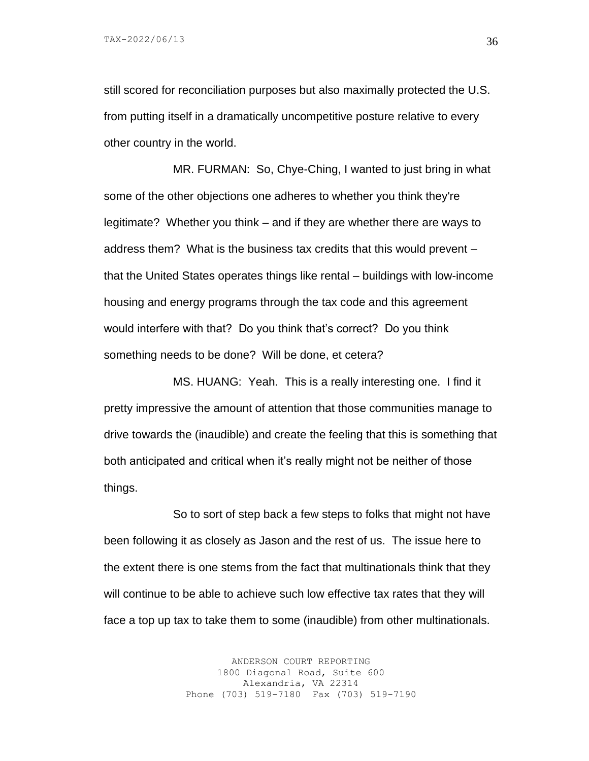still scored for reconciliation purposes but also maximally protected the U.S. from putting itself in a dramatically uncompetitive posture relative to every other country in the world.

MR. FURMAN: So, Chye-Ching, I wanted to just bring in what some of the other objections one adheres to whether you think they're legitimate? Whether you think – and if they are whether there are ways to address them? What is the business tax credits that this would prevent – that the United States operates things like rental – buildings with low-income housing and energy programs through the tax code and this agreement would interfere with that? Do you think that's correct? Do you think something needs to be done? Will be done, et cetera?

MS. HUANG: Yeah. This is a really interesting one. I find it pretty impressive the amount of attention that those communities manage to drive towards the (inaudible) and create the feeling that this is something that both anticipated and critical when it's really might not be neither of those things.

So to sort of step back a few steps to folks that might not have been following it as closely as Jason and the rest of us. The issue here to the extent there is one stems from the fact that multinationals think that they will continue to be able to achieve such low effective tax rates that they will face a top up tax to take them to some (inaudible) from other multinationals.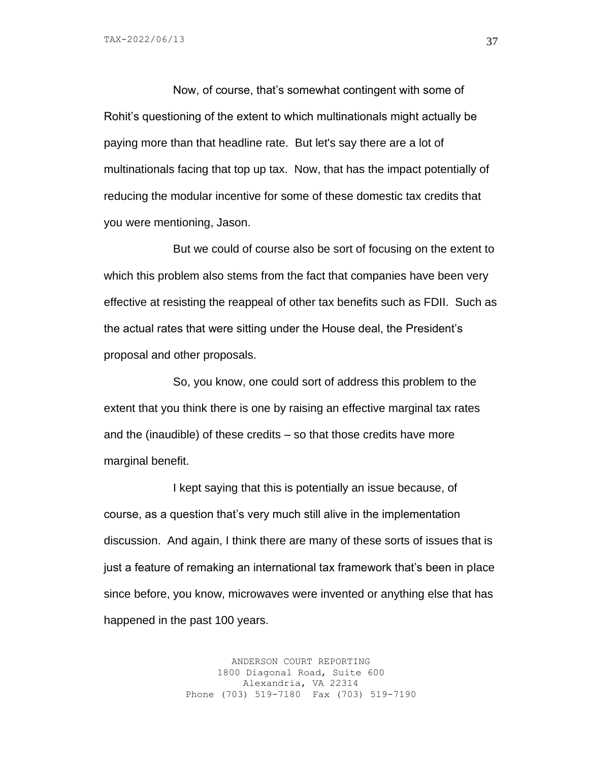Now, of course, that's somewhat contingent with some of Rohit's questioning of the extent to which multinationals might actually be paying more than that headline rate. But let's say there are a lot of multinationals facing that top up tax. Now, that has the impact potentially of reducing the modular incentive for some of these domestic tax credits that you were mentioning, Jason.

But we could of course also be sort of focusing on the extent to which this problem also stems from the fact that companies have been very effective at resisting the reappeal of other tax benefits such as FDII. Such as the actual rates that were sitting under the House deal, the President's proposal and other proposals.

So, you know, one could sort of address this problem to the extent that you think there is one by raising an effective marginal tax rates and the (inaudible) of these credits – so that those credits have more marginal benefit.

I kept saying that this is potentially an issue because, of course, as a question that's very much still alive in the implementation discussion. And again, I think there are many of these sorts of issues that is just a feature of remaking an international tax framework that's been in place since before, you know, microwaves were invented or anything else that has happened in the past 100 years.

> ANDERSON COURT REPORTING 1800 Diagonal Road, Suite 600 Alexandria, VA 22314 Phone (703) 519-7180 Fax (703) 519-7190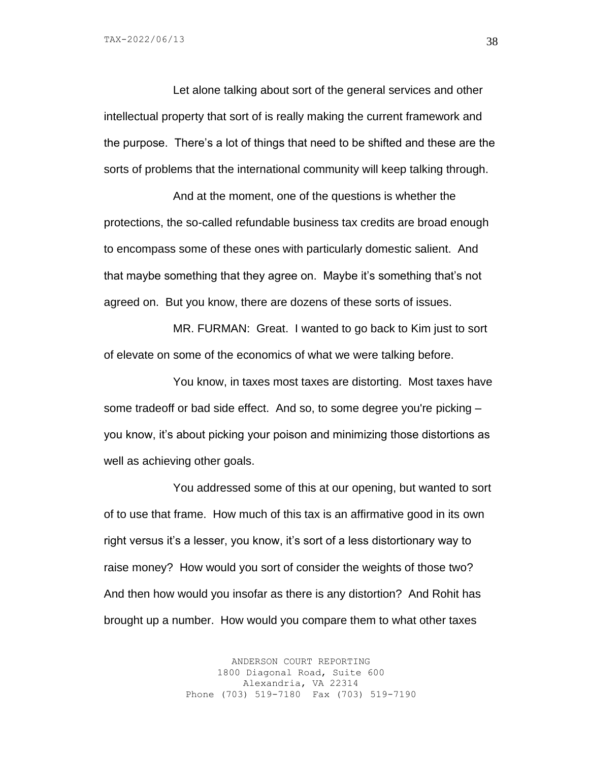TAX-2022/06/13

Let alone talking about sort of the general services and other intellectual property that sort of is really making the current framework and the purpose. There's a lot of things that need to be shifted and these are the sorts of problems that the international community will keep talking through.

And at the moment, one of the questions is whether the protections, the so-called refundable business tax credits are broad enough to encompass some of these ones with particularly domestic salient. And that maybe something that they agree on. Maybe it's something that's not agreed on. But you know, there are dozens of these sorts of issues.

MR. FURMAN: Great. I wanted to go back to Kim just to sort of elevate on some of the economics of what we were talking before.

You know, in taxes most taxes are distorting. Most taxes have some tradeoff or bad side effect. And so, to some degree you're picking – you know, it's about picking your poison and minimizing those distortions as well as achieving other goals.

You addressed some of this at our opening, but wanted to sort of to use that frame. How much of this tax is an affirmative good in its own right versus it's a lesser, you know, it's sort of a less distortionary way to raise money? How would you sort of consider the weights of those two? And then how would you insofar as there is any distortion? And Rohit has brought up a number. How would you compare them to what other taxes

> ANDERSON COURT REPORTING 1800 Diagonal Road, Suite 600 Alexandria, VA 22314 Phone (703) 519-7180 Fax (703) 519-7190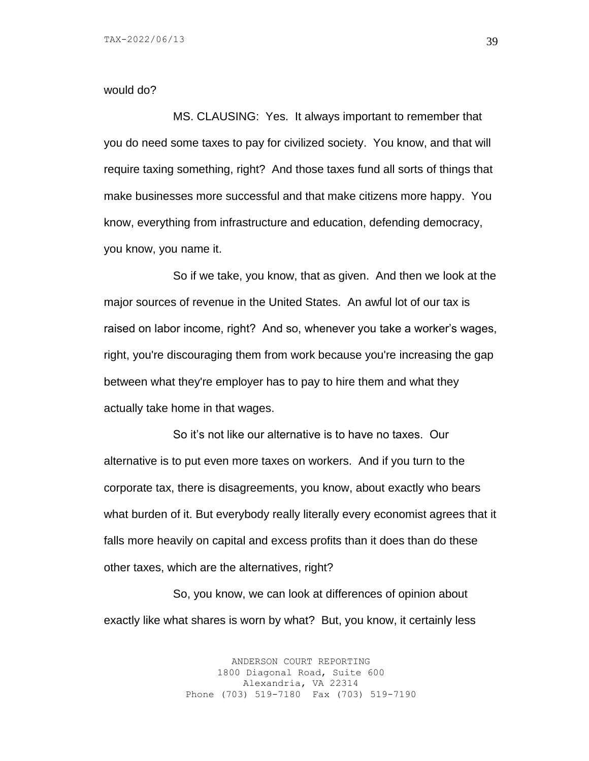#### would do?

MS. CLAUSING: Yes. It always important to remember that you do need some taxes to pay for civilized society. You know, and that will require taxing something, right? And those taxes fund all sorts of things that make businesses more successful and that make citizens more happy. You know, everything from infrastructure and education, defending democracy, you know, you name it.

So if we take, you know, that as given. And then we look at the major sources of revenue in the United States. An awful lot of our tax is raised on labor income, right? And so, whenever you take a worker's wages, right, you're discouraging them from work because you're increasing the gap between what they're employer has to pay to hire them and what they actually take home in that wages.

So it's not like our alternative is to have no taxes. Our alternative is to put even more taxes on workers. And if you turn to the corporate tax, there is disagreements, you know, about exactly who bears what burden of it. But everybody really literally every economist agrees that it falls more heavily on capital and excess profits than it does than do these other taxes, which are the alternatives, right?

So, you know, we can look at differences of opinion about exactly like what shares is worn by what? But, you know, it certainly less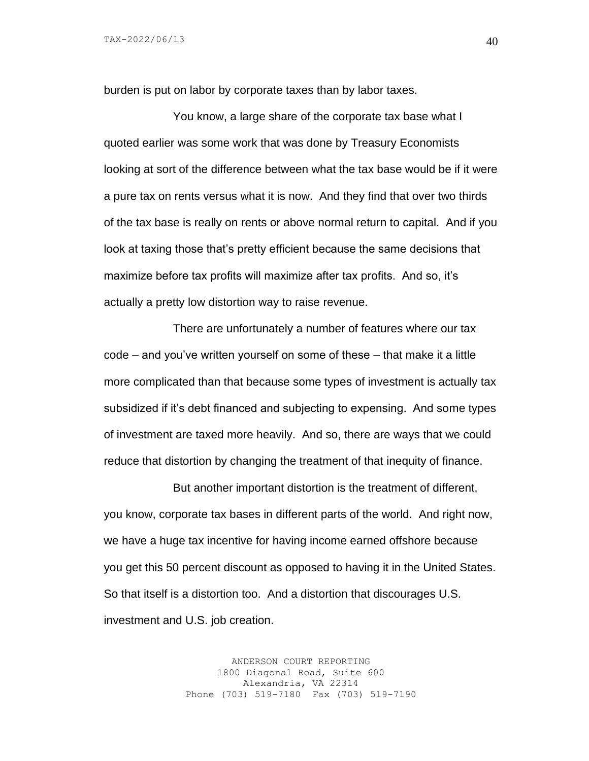burden is put on labor by corporate taxes than by labor taxes.

You know, a large share of the corporate tax base what I quoted earlier was some work that was done by Treasury Economists looking at sort of the difference between what the tax base would be if it were a pure tax on rents versus what it is now. And they find that over two thirds of the tax base is really on rents or above normal return to capital. And if you look at taxing those that's pretty efficient because the same decisions that maximize before tax profits will maximize after tax profits. And so, it's actually a pretty low distortion way to raise revenue.

There are unfortunately a number of features where our tax code – and you've written yourself on some of these – that make it a little more complicated than that because some types of investment is actually tax subsidized if it's debt financed and subjecting to expensing. And some types of investment are taxed more heavily. And so, there are ways that we could reduce that distortion by changing the treatment of that inequity of finance.

But another important distortion is the treatment of different, you know, corporate tax bases in different parts of the world. And right now, we have a huge tax incentive for having income earned offshore because you get this 50 percent discount as opposed to having it in the United States. So that itself is a distortion too. And a distortion that discourages U.S. investment and U.S. job creation.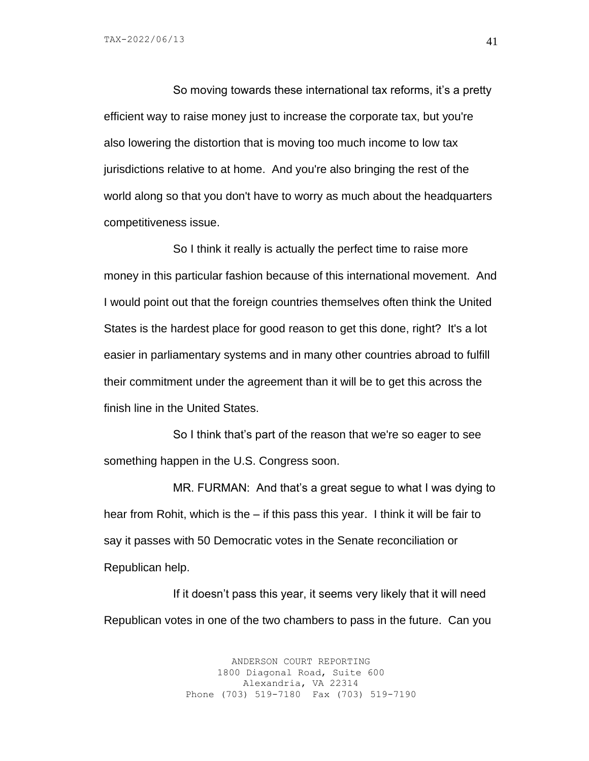TAX-2022/06/13

So moving towards these international tax reforms, it's a pretty efficient way to raise money just to increase the corporate tax, but you're also lowering the distortion that is moving too much income to low tax jurisdictions relative to at home. And you're also bringing the rest of the world along so that you don't have to worry as much about the headquarters competitiveness issue.

So I think it really is actually the perfect time to raise more money in this particular fashion because of this international movement. And I would point out that the foreign countries themselves often think the United States is the hardest place for good reason to get this done, right? It's a lot easier in parliamentary systems and in many other countries abroad to fulfill their commitment under the agreement than it will be to get this across the finish line in the United States.

So I think that's part of the reason that we're so eager to see something happen in the U.S. Congress soon.

MR. FURMAN: And that's a great segue to what I was dying to hear from Rohit, which is the – if this pass this year. I think it will be fair to say it passes with 50 Democratic votes in the Senate reconciliation or Republican help.

If it doesn't pass this year, it seems very likely that it will need Republican votes in one of the two chambers to pass in the future. Can you

> ANDERSON COURT REPORTING 1800 Diagonal Road, Suite 600 Alexandria, VA 22314 Phone (703) 519-7180 Fax (703) 519-7190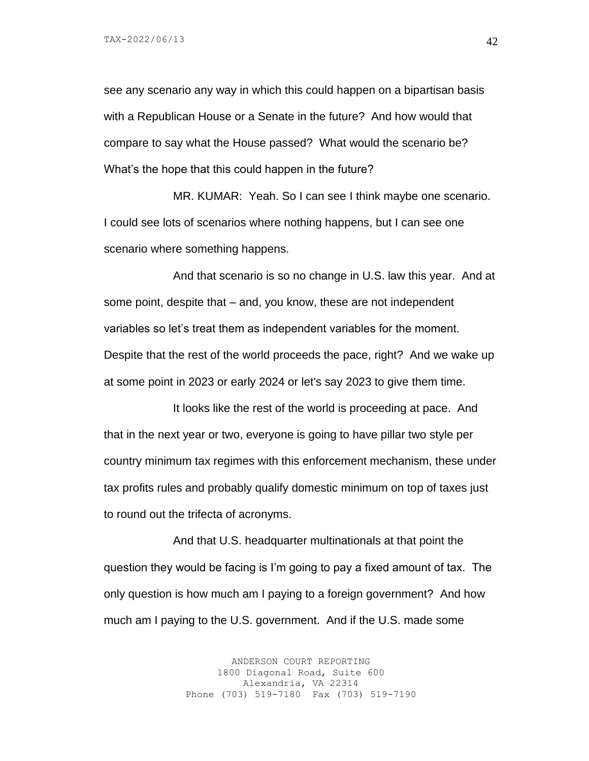see any scenario any way in which this could happen on a bipartisan basis with a Republican House or a Senate in the future? And how would that compare to say what the House passed? What would the scenario be? What's the hope that this could happen in the future?

MR. KUMAR: Yeah. So I can see I think maybe one scenario. I could see lots of scenarios where nothing happens, but I can see one scenario where something happens.

And that scenario is so no change in U.S. law this year. And at some point, despite that – and, you know, these are not independent variables so let's treat them as independent variables for the moment. Despite that the rest of the world proceeds the pace, right? And we wake up at some point in 2023 or early 2024 or let's say 2023 to give them time.

It looks like the rest of the world is proceeding at pace. And that in the next year or two, everyone is going to have pillar two style per country minimum tax regimes with this enforcement mechanism, these under tax profits rules and probably qualify domestic minimum on top of taxes just to round out the trifecta of acronyms.

And that U.S. headquarter multinationals at that point the question they would be facing is I'm going to pay a fixed amount of tax. The only question is how much am I paying to a foreign government? And how much am I paying to the U.S. government. And if the U.S. made some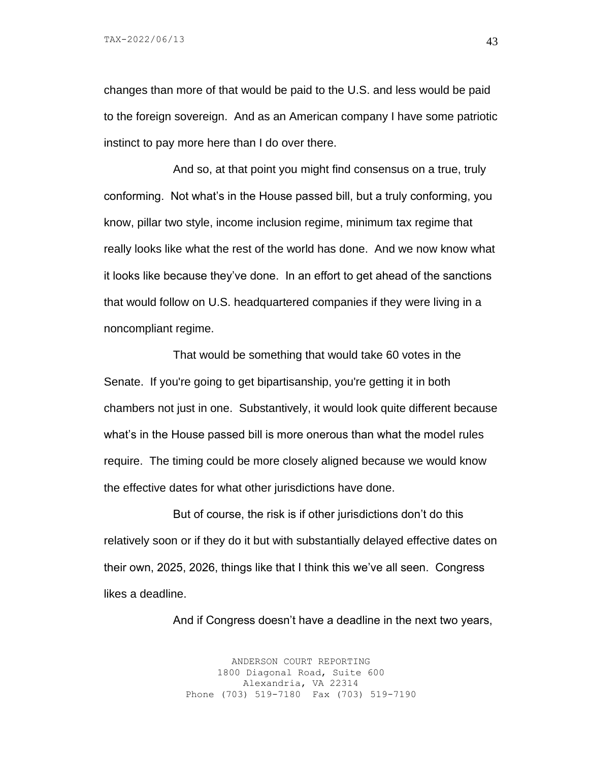changes than more of that would be paid to the U.S. and less would be paid to the foreign sovereign. And as an American company I have some patriotic instinct to pay more here than I do over there.

And so, at that point you might find consensus on a true, truly conforming. Not what's in the House passed bill, but a truly conforming, you know, pillar two style, income inclusion regime, minimum tax regime that really looks like what the rest of the world has done. And we now know what it looks like because they've done. In an effort to get ahead of the sanctions that would follow on U.S. headquartered companies if they were living in a noncompliant regime.

That would be something that would take 60 votes in the Senate. If you're going to get bipartisanship, you're getting it in both chambers not just in one. Substantively, it would look quite different because what's in the House passed bill is more onerous than what the model rules require. The timing could be more closely aligned because we would know the effective dates for what other jurisdictions have done.

But of course, the risk is if other jurisdictions don't do this relatively soon or if they do it but with substantially delayed effective dates on their own, 2025, 2026, things like that I think this we've all seen. Congress likes a deadline.

And if Congress doesn't have a deadline in the next two years,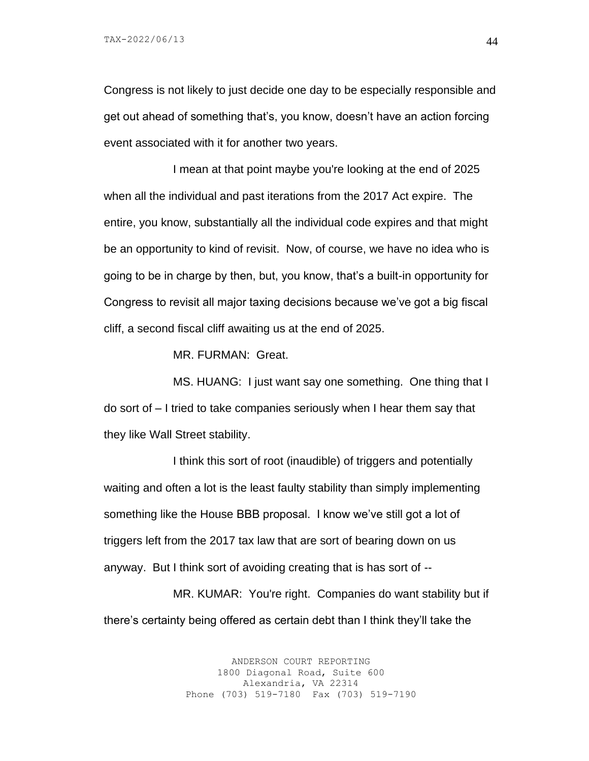Congress is not likely to just decide one day to be especially responsible and get out ahead of something that's, you know, doesn't have an action forcing event associated with it for another two years.

I mean at that point maybe you're looking at the end of 2025 when all the individual and past iterations from the 2017 Act expire. The entire, you know, substantially all the individual code expires and that might be an opportunity to kind of revisit. Now, of course, we have no idea who is going to be in charge by then, but, you know, that's a built-in opportunity for Congress to revisit all major taxing decisions because we've got a big fiscal cliff, a second fiscal cliff awaiting us at the end of 2025.

MR. FURMAN: Great.

MS. HUANG: I just want say one something. One thing that I do sort of – I tried to take companies seriously when I hear them say that they like Wall Street stability.

I think this sort of root (inaudible) of triggers and potentially waiting and often a lot is the least faulty stability than simply implementing something like the House BBB proposal. I know we've still got a lot of triggers left from the 2017 tax law that are sort of bearing down on us anyway. But I think sort of avoiding creating that is has sort of --

MR. KUMAR: You're right. Companies do want stability but if there's certainty being offered as certain debt than I think they'll take the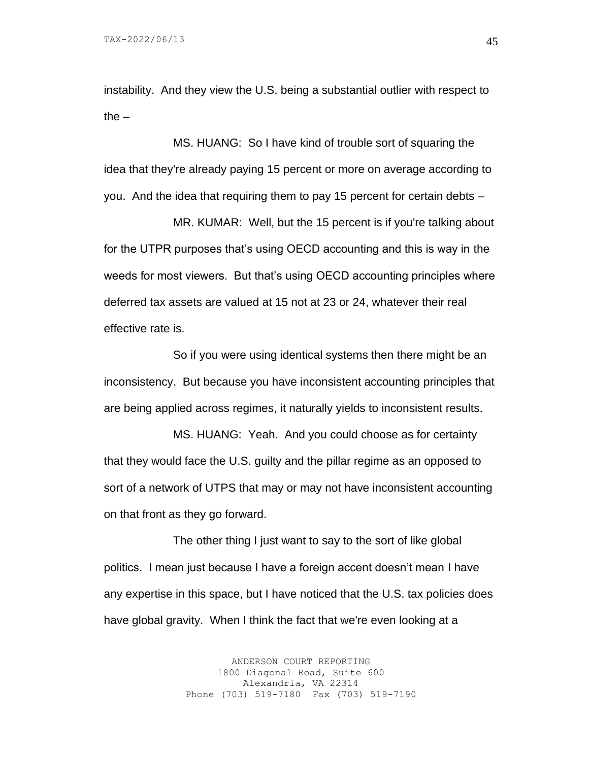instability. And they view the U.S. being a substantial outlier with respect to the  $-$ 

MS. HUANG: So I have kind of trouble sort of squaring the idea that they're already paying 15 percent or more on average according to you. And the idea that requiring them to pay 15 percent for certain debts –

MR. KUMAR: Well, but the 15 percent is if you're talking about for the UTPR purposes that's using OECD accounting and this is way in the weeds for most viewers. But that's using OECD accounting principles where deferred tax assets are valued at 15 not at 23 or 24, whatever their real effective rate is.

So if you were using identical systems then there might be an inconsistency. But because you have inconsistent accounting principles that are being applied across regimes, it naturally yields to inconsistent results.

MS. HUANG: Yeah. And you could choose as for certainty that they would face the U.S. guilty and the pillar regime as an opposed to sort of a network of UTPS that may or may not have inconsistent accounting on that front as they go forward.

The other thing I just want to say to the sort of like global politics. I mean just because I have a foreign accent doesn't mean I have any expertise in this space, but I have noticed that the U.S. tax policies does have global gravity. When I think the fact that we're even looking at a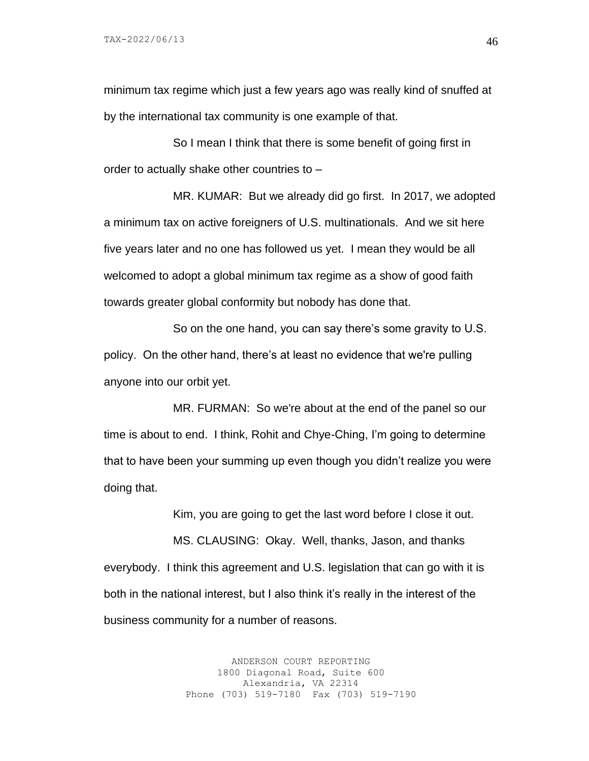minimum tax regime which just a few years ago was really kind of snuffed at by the international tax community is one example of that.

So I mean I think that there is some benefit of going first in order to actually shake other countries to –

MR. KUMAR: But we already did go first. In 2017, we adopted a minimum tax on active foreigners of U.S. multinationals. And we sit here five years later and no one has followed us yet. I mean they would be all welcomed to adopt a global minimum tax regime as a show of good faith towards greater global conformity but nobody has done that.

So on the one hand, you can say there's some gravity to U.S. policy. On the other hand, there's at least no evidence that we're pulling anyone into our orbit yet.

MR. FURMAN: So we're about at the end of the panel so our time is about to end. I think, Rohit and Chye-Ching, I'm going to determine that to have been your summing up even though you didn't realize you were doing that.

Kim, you are going to get the last word before I close it out.

MS. CLAUSING: Okay. Well, thanks, Jason, and thanks everybody. I think this agreement and U.S. legislation that can go with it is both in the national interest, but I also think it's really in the interest of the business community for a number of reasons.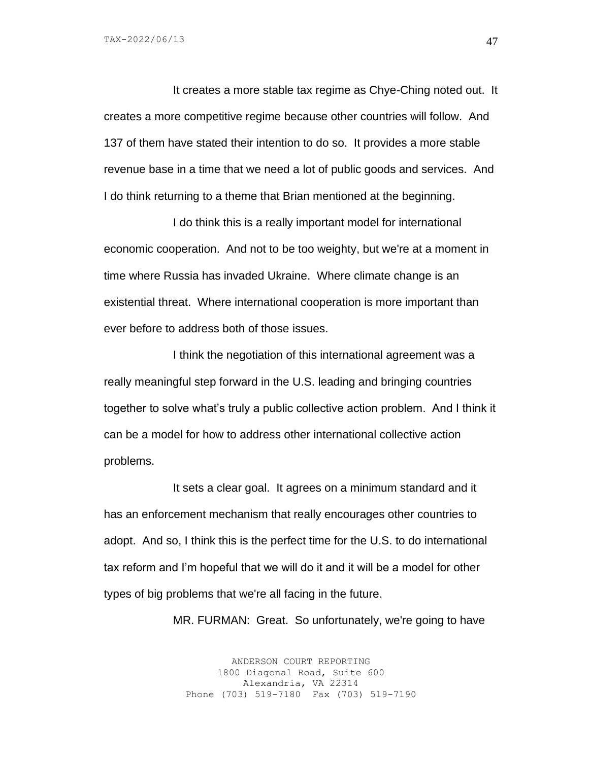TAX-2022/06/13

It creates a more stable tax regime as Chye-Ching noted out. It creates a more competitive regime because other countries will follow. And 137 of them have stated their intention to do so. It provides a more stable revenue base in a time that we need a lot of public goods and services. And I do think returning to a theme that Brian mentioned at the beginning.

I do think this is a really important model for international economic cooperation. And not to be too weighty, but we're at a moment in time where Russia has invaded Ukraine. Where climate change is an existential threat. Where international cooperation is more important than ever before to address both of those issues.

I think the negotiation of this international agreement was a really meaningful step forward in the U.S. leading and bringing countries together to solve what's truly a public collective action problem. And I think it can be a model for how to address other international collective action problems.

It sets a clear goal. It agrees on a minimum standard and it has an enforcement mechanism that really encourages other countries to adopt. And so, I think this is the perfect time for the U.S. to do international tax reform and I'm hopeful that we will do it and it will be a model for other types of big problems that we're all facing in the future.

MR. FURMAN: Great. So unfortunately, we're going to have

ANDERSON COURT REPORTING 1800 Diagonal Road, Suite 600 Alexandria, VA 22314 Phone (703) 519-7180 Fax (703) 519-7190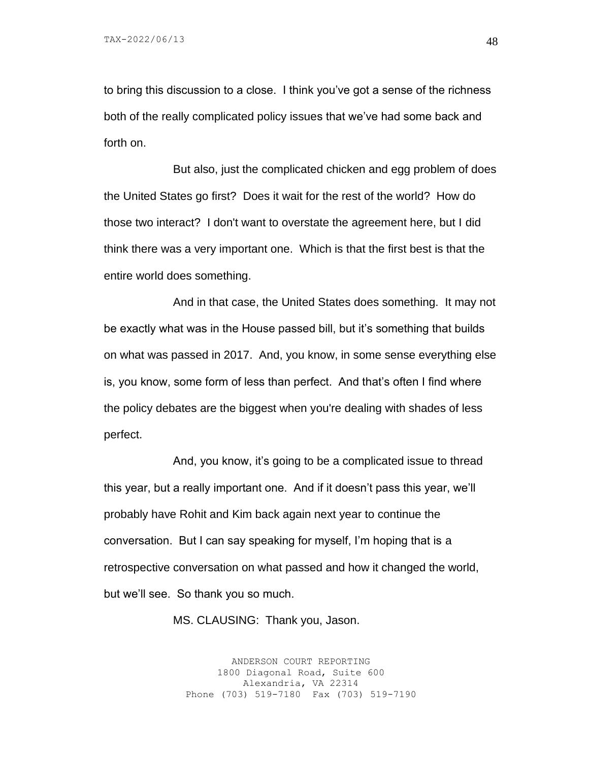to bring this discussion to a close. I think you've got a sense of the richness both of the really complicated policy issues that we've had some back and forth on.

But also, just the complicated chicken and egg problem of does the United States go first? Does it wait for the rest of the world? How do those two interact? I don't want to overstate the agreement here, but I did think there was a very important one. Which is that the first best is that the entire world does something.

And in that case, the United States does something. It may not be exactly what was in the House passed bill, but it's something that builds on what was passed in 2017. And, you know, in some sense everything else is, you know, some form of less than perfect. And that's often I find where the policy debates are the biggest when you're dealing with shades of less perfect.

And, you know, it's going to be a complicated issue to thread this year, but a really important one. And if it doesn't pass this year, we'll probably have Rohit and Kim back again next year to continue the conversation. But I can say speaking for myself, I'm hoping that is a retrospective conversation on what passed and how it changed the world, but we'll see. So thank you so much.

MS. CLAUSING: Thank you, Jason.

ANDERSON COURT REPORTING 1800 Diagonal Road, Suite 600 Alexandria, VA 22314 Phone (703) 519-7180 Fax (703) 519-7190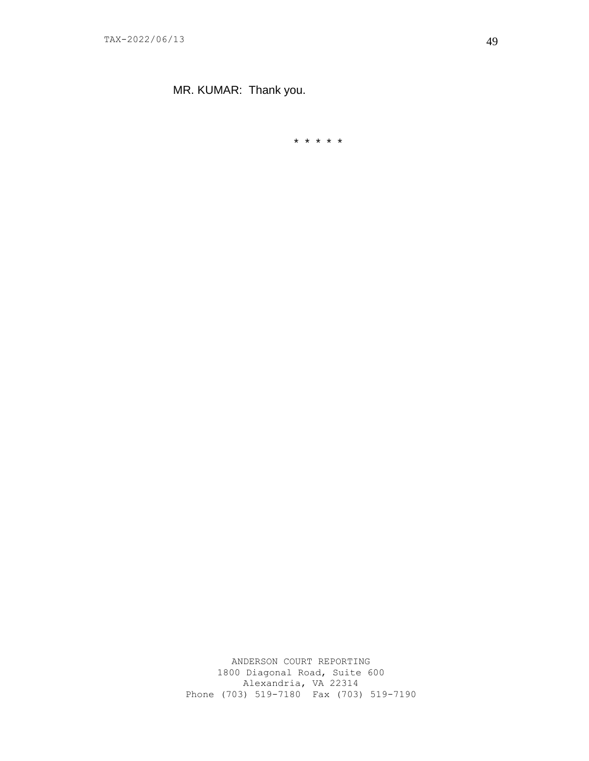MR. KUMAR: Thank you.

\* \* \* \* \*